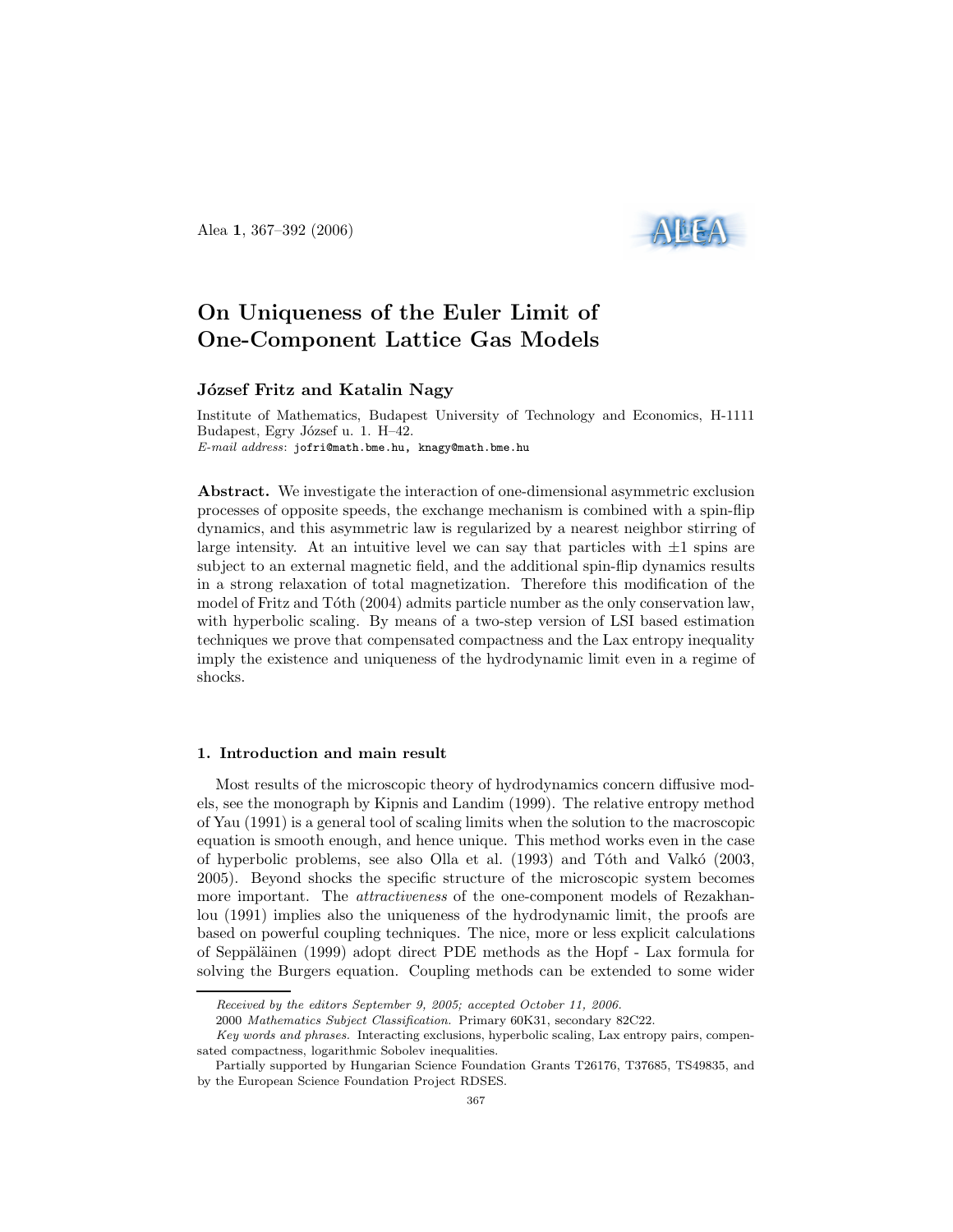Alea 1, 367–392 (2006)



# On Uniqueness of the Euler Limit of One-Component Lattice Gas Models

# József Fritz and Katalin Nagy

Institute of Mathematics, Budapest University of Technology and Economics, H-1111 Budapest, Egry József u. 1. H–42. E-mail address: jofri@math.bme.hu, knagy@math.bme.hu

Abstract. We investigate the interaction of one-dimensional asymmetric exclusion processes of opposite speeds, the exchange mechanism is combined with a spin-flip dynamics, and this asymmetric law is regularized by a nearest neighbor stirring of large intensity. At an intuitive level we can say that particles with  $\pm 1$  spins are subject to an external magnetic field, and the additional spin-flip dynamics results in a strong relaxation of total magnetization. Therefore this modification of the model of Fritz and Tóth (2004) admits particle number as the only conservation law, with hyperbolic scaling. By means of a two-step version of LSI based estimation techniques we prove that compensated compactness and the Lax entropy inequality imply the existence and uniqueness of the hydrodynamic limit even in a regime of shocks.

## 1. Introduction and main result

Most results of the microscopic theory of hydrodynamics concern diffusive models, see the monograph by Kipnis and Landim (1999). The relative entropy method of Yau (1991) is a general tool of scaling limits when the solution to the macroscopic equation is smooth enough, and hence unique. This method works even in the case of hyperbolic problems, see also Olla et al. (1993) and Tóth and Valkó (2003, 2005). Beyond shocks the specific structure of the microscopic system becomes more important. The *attractiveness* of the one-component models of Rezakhanlou (1991) implies also the uniqueness of the hydrodynamic limit, the proofs are based on powerful coupling techniques. The nice, more or less explicit calculations of Seppäläinen (1999) adopt direct PDE methods as the Hopf - Lax formula for solving the Burgers equation. Coupling methods can be extended to some wider

Received by the editors September 9, 2005; accepted October 11, 2006.

<sup>2000</sup> Mathematics Subject Classification. Primary 60K31, secondary 82C22.

Key words and phrases. Interacting exclusions, hyperbolic scaling, Lax entropy pairs, compensated compactness, logarithmic Sobolev inequalities.

Partially supported by Hungarian Science Foundation Grants T26176, T37685, TS49835, and by the European Science Foundation Project RDSES.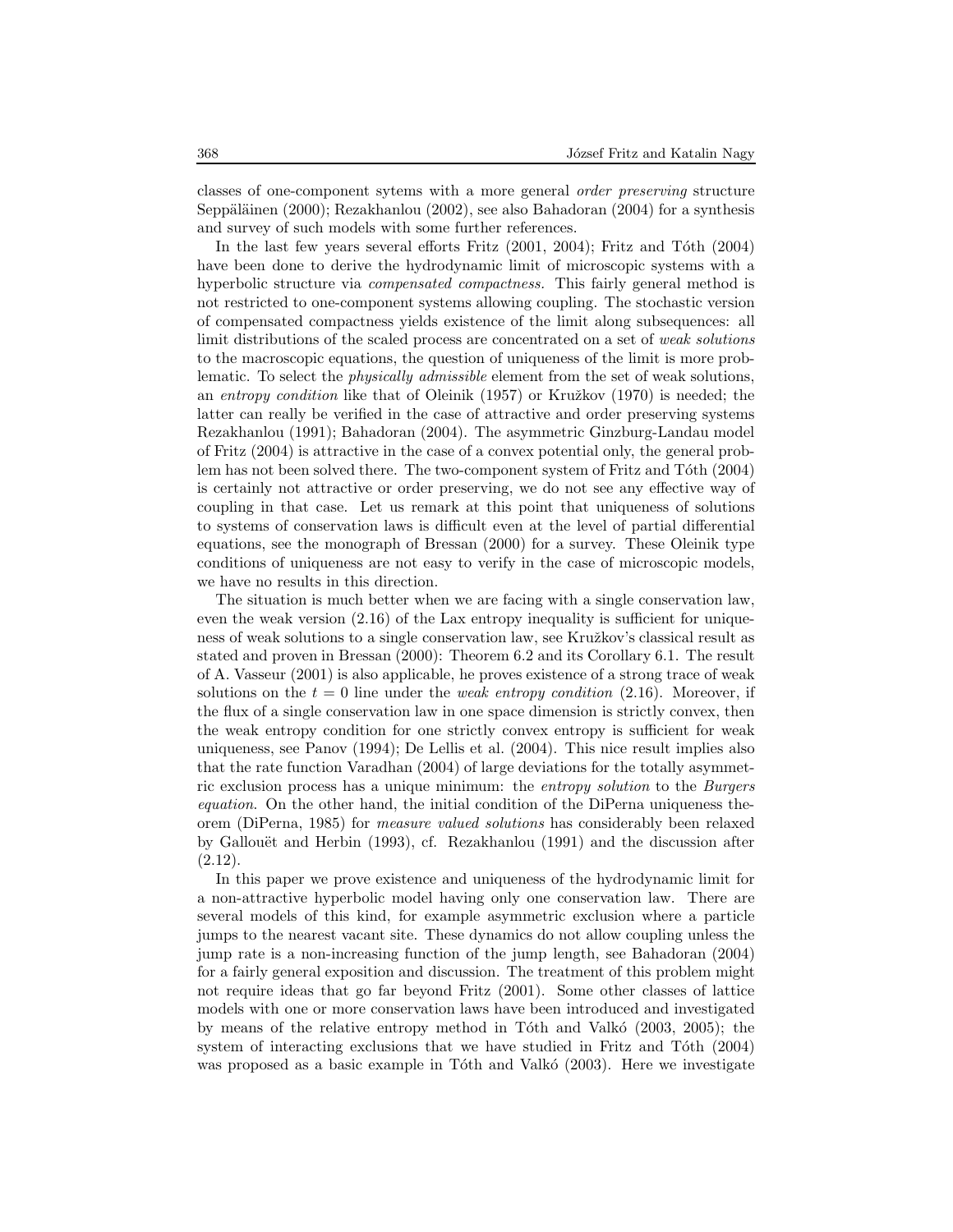classes of one-component sytems with a more general order preserving structure Seppäläinen (2000); Rezakhanlou (2002), see also Bahadoran (2004) for a synthesis and survey of such models with some further references.

In the last few years several efforts Fritz  $(2001, 2004)$ ; Fritz and Tóth  $(2004)$ have been done to derive the hydrodynamic limit of microscopic systems with a hyperbolic structure via *compensated compactness*. This fairly general method is not restricted to one-component systems allowing coupling. The stochastic version of compensated compactness yields existence of the limit along subsequences: all limit distributions of the scaled process are concentrated on a set of weak solutions to the macroscopic equations, the question of uniqueness of the limit is more problematic. To select the physically admissible element from the set of weak solutions, an entropy condition like that of Oleinik  $(1957)$  or Kružkov  $(1970)$  is needed; the latter can really be verified in the case of attractive and order preserving systems Rezakhanlou (1991); Bahadoran (2004). The asymmetric Ginzburg-Landau model of Fritz (2004) is attractive in the case of a convex potential only, the general problem has not been solved there. The two-component system of Fritz and Tóth (2004) is certainly not attractive or order preserving, we do not see any effective way of coupling in that case. Let us remark at this point that uniqueness of solutions to systems of conservation laws is difficult even at the level of partial differential equations, see the monograph of Bressan (2000) for a survey. These Oleinik type conditions of uniqueness are not easy to verify in the case of microscopic models, we have no results in this direction.

The situation is much better when we are facing with a single conservation law, even the weak version (2.16) of the Lax entropy inequality is sufficient for uniqueness of weak solutions to a single conservation law, see Kružkov's classical result as stated and proven in Bressan (2000): Theorem 6.2 and its Corollary 6.1. The result of A. Vasseur (2001) is also applicable, he proves existence of a strong trace of weak solutions on the  $t = 0$  line under the *weak entropy condition* (2.16). Moreover, if the flux of a single conservation law in one space dimension is strictly convex, then the weak entropy condition for one strictly convex entropy is sufficient for weak uniqueness, see Panov (1994); De Lellis et al. (2004). This nice result implies also that the rate function Varadhan (2004) of large deviations for the totally asymmetric exclusion process has a unique minimum: the entropy solution to the Burgers equation. On the other hand, the initial condition of the DiPerna uniqueness theorem (DiPerna, 1985) for measure valued solutions has considerably been relaxed by Gallouët and Herbin  $(1993)$ , cf. Rezakhanlou  $(1991)$  and the discussion after (2.12).

In this paper we prove existence and uniqueness of the hydrodynamic limit for a non-attractive hyperbolic model having only one conservation law. There are several models of this kind, for example asymmetric exclusion where a particle jumps to the nearest vacant site. These dynamics do not allow coupling unless the jump rate is a non-increasing function of the jump length, see Bahadoran (2004) for a fairly general exposition and discussion. The treatment of this problem might not require ideas that go far beyond Fritz (2001). Some other classes of lattice models with one or more conservation laws have been introduced and investigated by means of the relative entropy method in Tóth and Valkó  $(2003, 2005)$ ; the system of interacting exclusions that we have studied in Fritz and Tôth  $(2004)$ was proposed as a basic example in Tóth and Valkó (2003). Here we investigate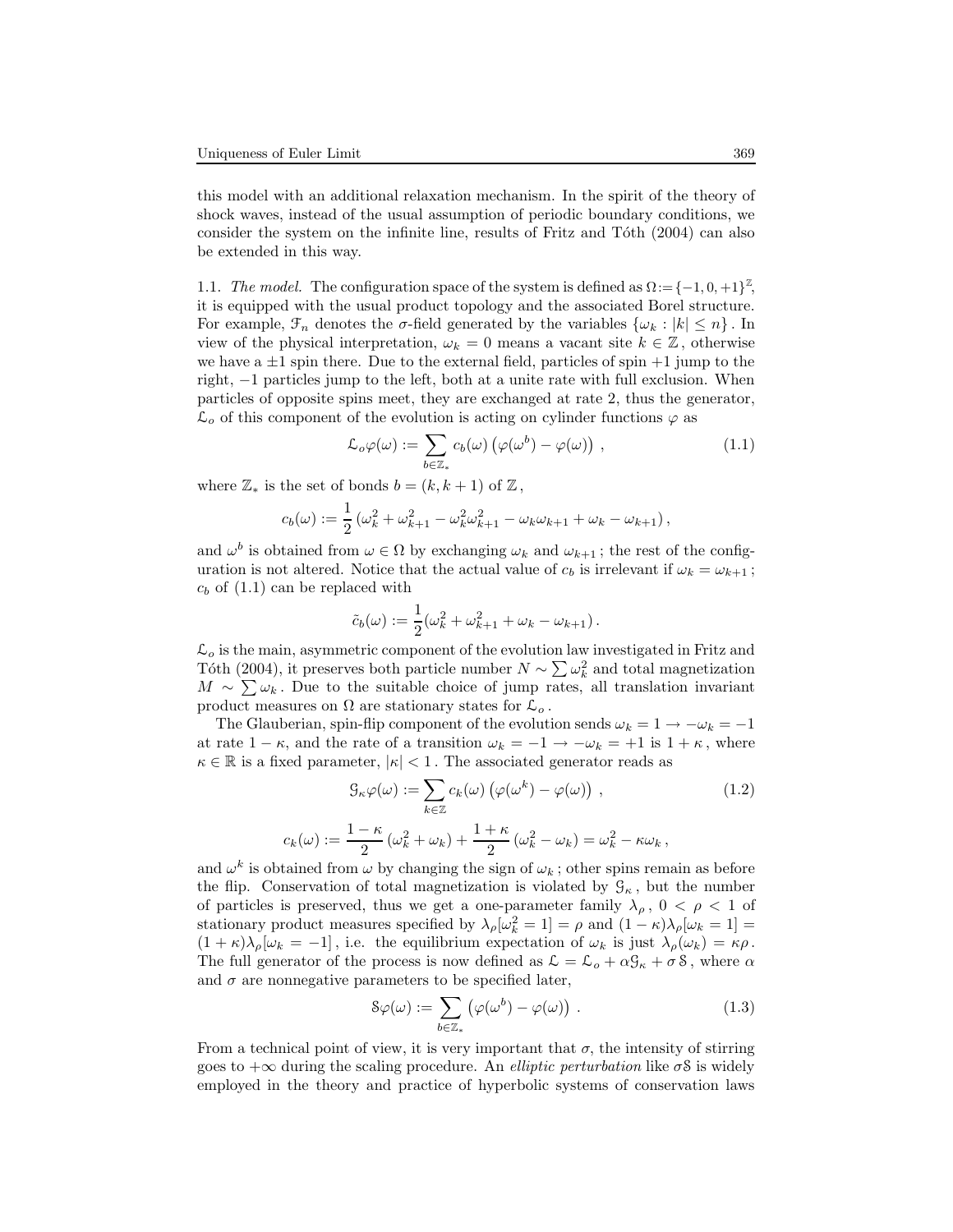and  $\omega^k$ 

this model with an additional relaxation mechanism. In the spirit of the theory of shock waves, instead of the usual assumption of periodic boundary conditions, we consider the system on the infinite line, results of Fritz and Toth (2004) can also be extended in this way.

1.1. The model. The configuration space of the system is defined as  $\Omega := \{-1, 0, +1\}^{\mathbb{Z}},$ it is equipped with the usual product topology and the associated Borel structure. For example,  $\mathcal{F}_n$  denotes the  $\sigma$ -field generated by the variables  $\{\omega_k : |k| \leq n\}$ . In view of the physical interpretation,  $\omega_k = 0$  means a vacant site  $k \in \mathbb{Z}$ , otherwise we have a  $\pm 1$  spin there. Due to the external field, particles of spin  $+1$  jump to the right, −1 particles jump to the left, both at a unite rate with full exclusion. When particles of opposite spins meet, they are exchanged at rate 2, thus the generator,  $\mathcal{L}_{o}$  of this component of the evolution is acting on cylinder functions  $\varphi$  as

$$
\mathcal{L}_o \varphi(\omega) := \sum_{b \in \mathbb{Z}_*} c_b(\omega) \left( \varphi(\omega^b) - \varphi(\omega) \right) , \qquad (1.1)
$$

where  $\mathbb{Z}_{*}$  is the set of bonds  $b = (k, k + 1)$  of  $\mathbb{Z}_{*}$ ,

$$
c_b(\omega) := \frac{1}{2} \left( \omega_k^2 + \omega_{k+1}^2 - \omega_k^2 \omega_{k+1}^2 - \omega_k \omega_{k+1} + \omega_k - \omega_{k+1} \right),\,
$$

and  $\omega^b$  is obtained from  $\omega \in \Omega$  by exchanging  $\omega_k$  and  $\omega_{k+1}$ ; the rest of the configuration is not altered. Notice that the actual value of  $c_b$  is irrelevant if  $\omega_k = \omega_{k+1}$ ;  $c_b$  of  $(1.1)$  can be replaced with

$$
\tilde{c}_b(\omega) := \frac{1}{2}(\omega_k^2 + \omega_{k+1}^2 + \omega_k - \omega_{k+1}).
$$

 $\mathcal{L}_o$  is the main, asymmetric component of the evolution law investigated in Fritz and Tôth (2004), it preserves both particle number  $N \sim \sum \omega_k^2$  and total magnetization  $M \sim \sum \omega_k$ . Due to the suitable choice of jump rates, all translation invariant product measures on  $\Omega$  are stationary states for  $\mathcal{L}_o$ .

The Glauberian, spin-flip component of the evolution sends  $\omega_k = 1 \rightarrow -\omega_k = -1$ at rate  $1 - \kappa$ , and the rate of a transition  $\omega_k = -1 \rightarrow -\omega_k = +1$  is  $1 + \kappa$ , where  $\kappa \in \mathbb{R}$  is a fixed parameter,  $|\kappa| < 1$  . The associated generator reads as

$$
\mathcal{G}_{\kappa}\varphi(\omega) := \sum_{k \in \mathbb{Z}} c_k(\omega) \left( \varphi(\omega^k) - \varphi(\omega) \right) ,
$$
\n
$$
:= \frac{1 - \kappa}{\omega^2 + \omega^2} \left( \frac{\omega^2}{\omega^2} + \frac{1 + \kappa}{\omega^2} \left( \frac{\omega^2}{\omega^2} - \omega \right) \right) = \omega^2 - \kappa \omega^2.
$$
\n(1.2)

$$
c_k(\omega) := \frac{\omega_k^2 + \omega_k + \frac{\omega_k^2}{2}(\omega_k^2 - \omega_k) = \omega_k^2 - \kappa \omega_k,
$$
  
and  $\omega^k$  is obtained from  $\omega$  by changing the sign of  $\omega_k$ ; other spins remain as before  
the flip. Conservation of total magnetization is violated by  $\mathcal{G}_k$ , but the number

of particles is preserved, thus we get a one-parameter family  $\lambda_{\rho}$ ,  $0 < \rho < 1$  of stationary product measures specified by  $\lambda_{\rho}[\omega_k^2 = 1] = \rho$  and  $(1 - \kappa)\lambda_{\rho}[\omega_k = 1] =$  $(1 + \kappa)\lambda_{\rho}[\omega_k = -1]$ , i.e. the equilibrium expectation of  $\omega_k$  is just  $\lambda_{\rho}(\omega_k) = \kappa \rho$ . The full generator of the process is now defined as  $\mathcal{L} = \mathcal{L}_{o} + \alpha \mathcal{G}_{\kappa} + \sigma \delta$ , where  $\alpha$ and  $\sigma$  are nonnegative parameters to be specified later,

$$
\mathcal{S}\varphi(\omega) := \sum_{b \in \mathbb{Z}_*} \left( \varphi(\omega^b) - \varphi(\omega) \right) . \tag{1.3}
$$

From a technical point of view, it is very important that  $\sigma$ , the intensity of stirring goes to  $+\infty$  during the scaling procedure. An *elliptic perturbation* like  $\sigma$ S is widely employed in the theory and practice of hyperbolic systems of conservation laws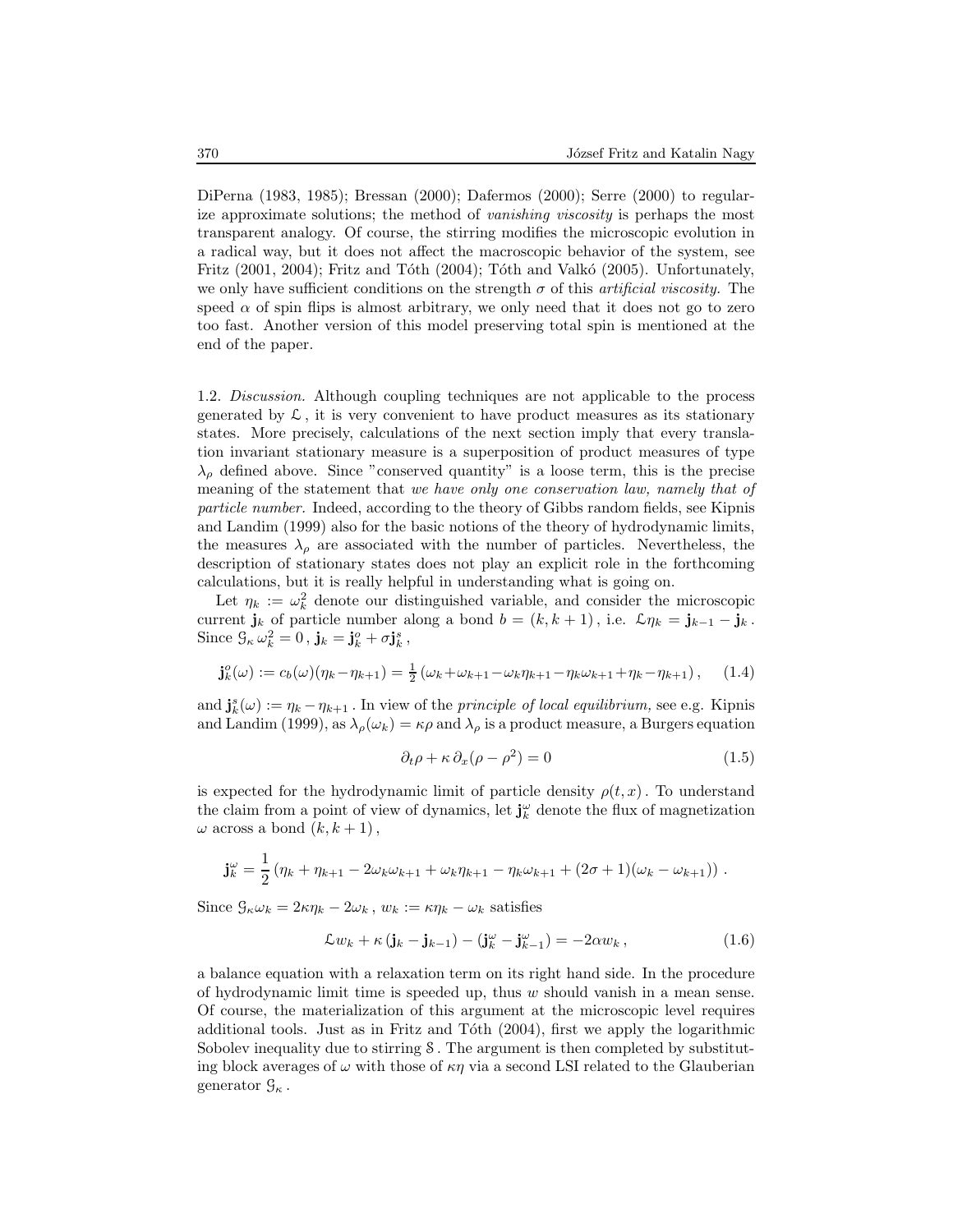DiPerna (1983, 1985); Bressan (2000); Dafermos (2000); Serre (2000) to regularize approximate solutions; the method of vanishing viscosity is perhaps the most transparent analogy. Of course, the stirring modifies the microscopic evolution in a radical way, but it does not affect the macroscopic behavior of the system, see Fritz  $(2001, 2004)$ ; Fritz and Tóth  $(2004)$ ; Tóth and Valkó  $(2005)$ . Unfortunately, we only have sufficient conditions on the strength  $\sigma$  of this *artificial viscosity*. The speed  $\alpha$  of spin flips is almost arbitrary, we only need that it does not go to zero too fast. Another version of this model preserving total spin is mentioned at the end of the paper.

1.2. Discussion. Although coupling techniques are not applicable to the process generated by  $\mathcal{L}$ , it is very convenient to have product measures as its stationary states. More precisely, calculations of the next section imply that every translation invariant stationary measure is a superposition of product measures of type  $\lambda_{\rho}$  defined above. Since "conserved quantity" is a loose term, this is the precise meaning of the statement that we have only one conservation law, namely that of particle number. Indeed, according to the theory of Gibbs random fields, see Kipnis and Landim (1999) also for the basic notions of the theory of hydrodynamic limits, the measures  $\lambda_{\rho}$  are associated with the number of particles. Nevertheless, the description of stationary states does not play an explicit role in the forthcoming calculations, but it is really helpful in understanding what is going on.

Let  $\eta_k := \omega_k^2$  denote our distinguished variable, and consider the microscopic current  $\mathbf{j}_k$  of particle number along a bond  $b = (k, k + 1)$ , i.e.  $\mathcal{L}\eta_k = \mathbf{j}_{k-1} - \mathbf{j}_k$ . Since  $\mathcal{G}_{\kappa} \omega_k^2 = 0$ ,  $\mathbf{j}_k = \mathbf{j}_k^o + \sigma \mathbf{j}_k^s$ ,

$$
\mathbf{j}_{k}^{o}(\omega) := c_{b}(\omega)(\eta_{k} - \eta_{k+1}) = \frac{1}{2}(\omega_{k} + \omega_{k+1} - \omega_{k}\eta_{k+1} - \eta_{k}\omega_{k+1} + \eta_{k} - \eta_{k+1}), \quad (1.4)
$$

and  $\mathbf{j}_{k}^{s}(\omega) := \eta_{k} - \eta_{k+1}$ . In view of the *principle of local equilibrium*, see e.g. Kipnis and Landim (1999), as  $\lambda_{\rho}(\omega_k) = \kappa \rho$  and  $\lambda_{\rho}$  is a product measure, a Burgers equation

$$
\partial_t \rho + \kappa \, \partial_x (\rho - \rho^2) = 0 \tag{1.5}
$$

is expected for the hydrodynamic limit of particle density  $\rho(t,x)$ . To understand the claim from a point of view of dynamics, let  $\mathbf{j}_{k}^{\omega}$  denote the flux of magnetization  $\omega$  across a bond  $(k, k + 1)$ ,

$$
\mathbf{j}_{k}^{\omega} = \frac{1}{2} \left( \eta_{k} + \eta_{k+1} - 2\omega_{k}\omega_{k+1} + \omega_{k}\eta_{k+1} - \eta_{k}\omega_{k+1} + (2\sigma + 1)(\omega_{k} - \omega_{k+1}) \right).
$$

Since  $\mathcal{G}_{\kappa}\omega_k = 2\kappa\eta_k - 2\omega_k$ ,  $w_k := \kappa\eta_k - \omega_k$  satisfies

$$
\mathcal{L}w_k + \kappa \left(\mathbf{j}_k - \mathbf{j}_{k-1}\right) - \left(\mathbf{j}_k^{\omega} - \mathbf{j}_{k-1}^{\omega}\right) = -2\alpha w_k, \qquad (1.6)
$$

a balance equation with a relaxation term on its right hand side. In the procedure of hydrodynamic limit time is speeded up, thus w should vanish in a mean sense. Of course, the materialization of this argument at the microscopic level requires additional tools. Just as in Fritz and Tôth  $(2004)$ , first we apply the logarithmic Sobolev inequality due to stirring S . The argument is then completed by substituting block averages of  $\omega$  with those of  $\kappa\eta$  via a second LSI related to the Glauberian generator  $\mathcal{G}_{\kappa}$ .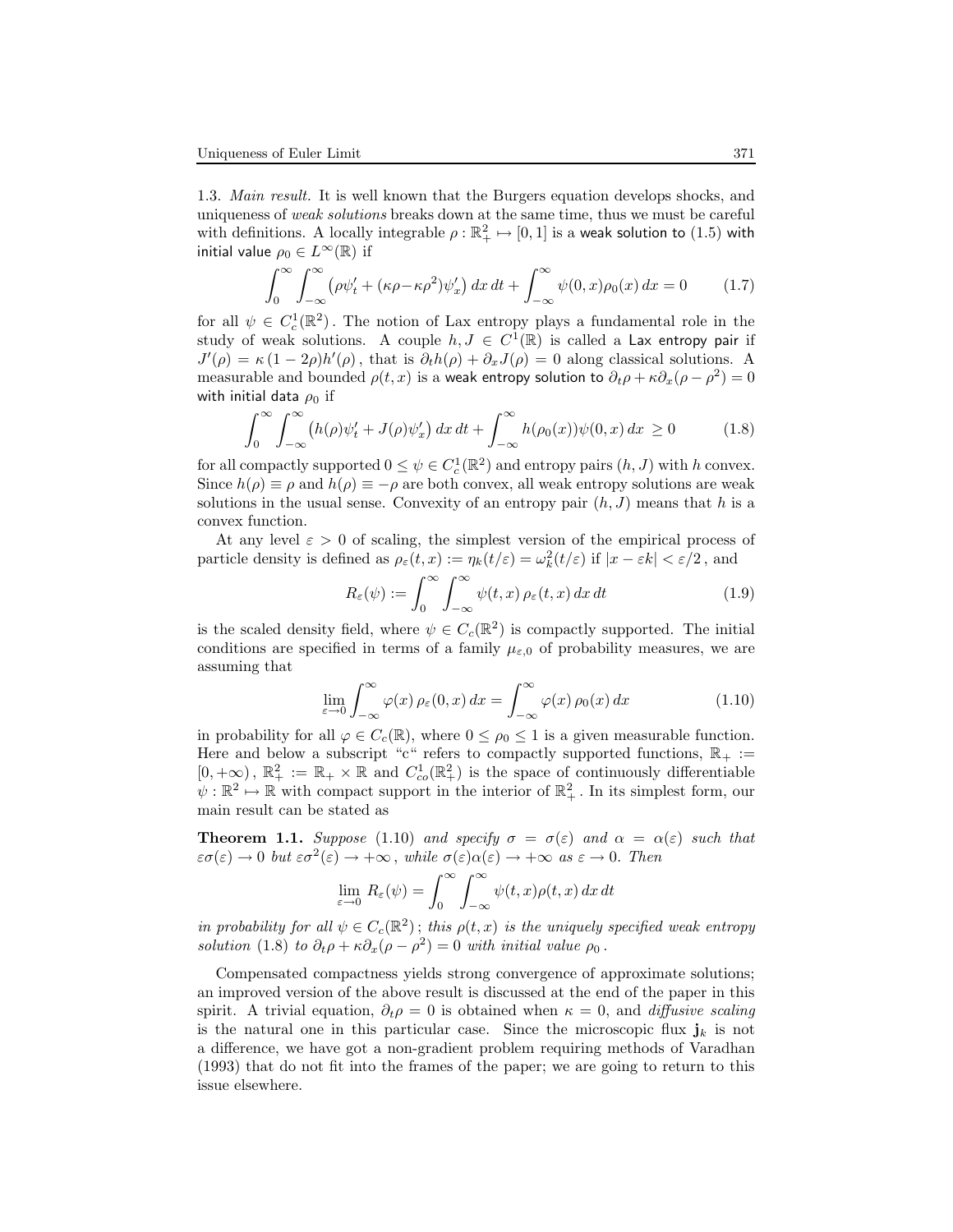1.3. Main result. It is well known that the Burgers equation develops shocks, and uniqueness of weak solutions breaks down at the same time, thus we must be careful with definitions. A locally integrable  $\rho : \mathbb{R}^2_+ \mapsto [0, 1]$  is a weak solution to  $(1.5)$  with initial value  $\rho_0 \in L^\infty(\mathbb{R})$  if

$$
\int_0^\infty \int_{-\infty}^\infty \left(\rho \psi_t' + (\kappa \rho - \kappa \rho^2) \psi_x'\right) dx dt + \int_{-\infty}^\infty \psi(0, x) \rho_0(x) dx = 0 \tag{1.7}
$$

for all  $\psi \in C_c^1(\mathbb{R}^2)$ . The notion of Lax entropy plays a fundamental role in the study of weak solutions. A couple  $h, J \in C^1(\mathbb{R})$  is called a Lax entropy pair if  $J'(\rho) = \kappa (1 - 2\rho) h'(\rho)$ , that is  $\partial_t h(\rho) + \partial_x J(\rho) = 0$  along classical solutions. A measurable and bounded  $\rho(t, x)$  is a weak entropy solution to  $\partial_t \rho + \kappa \partial_x (\rho - \rho^2) = 0$ with initial data  $\rho_0$  if

$$
\int_0^\infty \int_{-\infty}^\infty \left( h(\rho)\psi_t' + J(\rho)\psi_x' \right) dx \, dt + \int_{-\infty}^\infty h(\rho_0(x))\psi(0, x) \, dx \ge 0 \tag{1.8}
$$

for all compactly supported  $0 \leq \psi \in C_c^1(\mathbb{R}^2)$  and entropy pairs  $(h, J)$  with h convex. Since  $h(\rho) \equiv \rho$  and  $h(\rho) \equiv -\rho$  are both convex, all weak entropy solutions are weak solutions in the usual sense. Convexity of an entropy pair  $(h, J)$  means that h is a convex function.

At any level  $\varepsilon > 0$  of scaling, the simplest version of the empirical process of particle density is defined as  $\rho_{\varepsilon}(t,x) := \eta_k(t/\varepsilon) = \omega_k^2(t/\varepsilon)$  if  $|x - \varepsilon k| < \varepsilon/2$ , and

$$
R_{\varepsilon}(\psi) := \int_0^\infty \int_{-\infty}^\infty \psi(t, x) \, \rho_{\varepsilon}(t, x) \, dx \, dt \tag{1.9}
$$

is the scaled density field, where  $\psi \in C_c(\mathbb{R}^2)$  is compactly supported. The initial conditions are specified in terms of a family  $\mu_{\varepsilon,0}$  of probability measures, we are assuming that

$$
\lim_{\varepsilon \to 0} \int_{-\infty}^{\infty} \varphi(x) \, \rho_{\varepsilon}(0, x) \, dx = \int_{-\infty}^{\infty} \varphi(x) \, \rho_0(x) \, dx \tag{1.10}
$$

in probability for all  $\varphi \in C_c(\mathbb{R})$ , where  $0 \leq \rho_0 \leq 1$  is a given measurable function. Here and below a subscript "c" refers to compactly supported functions,  $\mathbb{R}_+ :=$  $[0, +\infty)$ ,  $\mathbb{R}^2_+ := \mathbb{R}_+ \times \mathbb{R}$  and  $C^1_{co}(\mathbb{R}^2_+)$  is the space of continuously differentiable  $\psi : \mathbb{R}^2 \to \mathbb{R}$  with compact support in the interior of  $\mathbb{R}^2_+$ . In its simplest form, our main result can be stated as

**Theorem 1.1.** Suppose (1.10) and specify  $\sigma = \sigma(\varepsilon)$  and  $\alpha = \alpha(\varepsilon)$  such that  $\varepsilon\sigma(\varepsilon)\to 0$  but  $\varepsilon\sigma^2(\varepsilon)\to +\infty$ , while  $\sigma(\varepsilon)\alpha(\varepsilon)\to +\infty$  as  $\varepsilon\to 0$ . Then

$$
\lim_{\varepsilon \to 0} R_{\varepsilon}(\psi) = \int_0^\infty \int_{-\infty}^\infty \psi(t, x) \rho(t, x) \, dx \, dt
$$

in probability for all  $\psi \in C_c(\mathbb{R}^2)$ ; this  $\rho(t,x)$  is the uniquely specified weak entropy solution (1.8) to  $\partial_t \rho + \kappa \partial_x (\rho - \rho^2) = 0$  with initial value  $\rho_0$ .

Compensated compactness yields strong convergence of approximate solutions; an improved version of the above result is discussed at the end of the paper in this spirit. A trivial equation,  $\partial_t \rho = 0$  is obtained when  $\kappa = 0$ , and *diffusive scaling* is the natural one in this particular case. Since the microscopic flux  $j_k$  is not a difference, we have got a non-gradient problem requiring methods of Varadhan (1993) that do not fit into the frames of the paper; we are going to return to this issue elsewhere.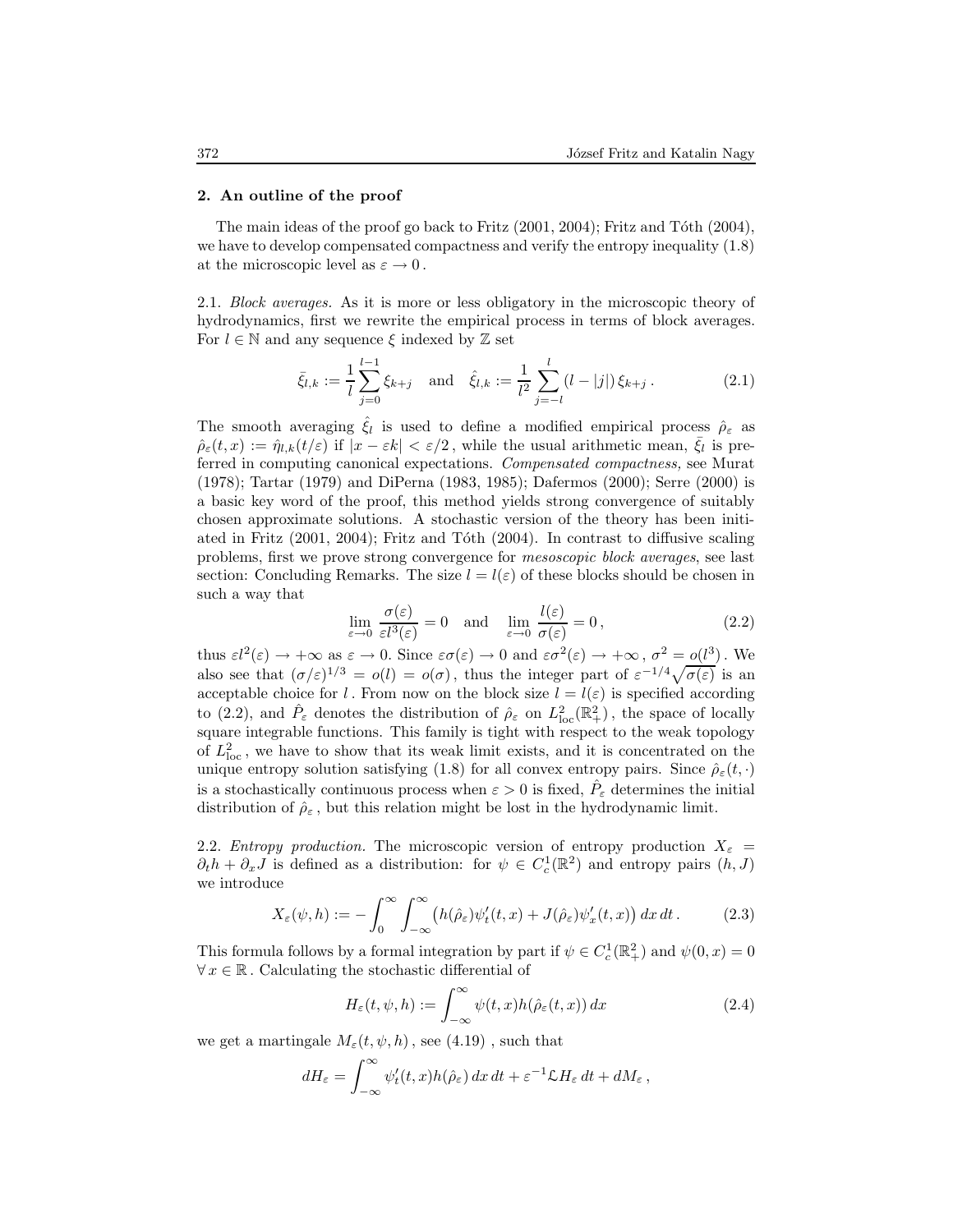#### 2. An outline of the proof

The main ideas of the proof go back to Fritz  $(2001, 2004)$ ; Fritz and Tóth  $(2004)$ , we have to develop compensated compactness and verify the entropy inequality  $(1.8)$ at the microscopic level as  $\varepsilon \to 0$ .

2.1. Block averages. As it is more or less obligatory in the microscopic theory of hydrodynamics, first we rewrite the empirical process in terms of block averages. For  $l \in \mathbb{N}$  and any sequence  $\xi$  indexed by  $\mathbb Z$  set

$$
\bar{\xi}_{l,k} := \frac{1}{l} \sum_{j=0}^{l-1} \xi_{k+j} \quad \text{and} \quad \hat{\xi}_{l,k} := \frac{1}{l^2} \sum_{j=-l}^{l} (l-|j|) \, \xi_{k+j} \,. \tag{2.1}
$$

The smooth averaging  $\hat{\xi}_l$  is used to define a modified empirical process  $\hat{\rho}_{\varepsilon}$  as  $\hat{\rho}_{\varepsilon}(t,x) := \hat{\eta}_{l,k}(t/\varepsilon)$  if  $|x - \varepsilon k| < \varepsilon/2$ , while the usual arithmetic mean,  $\bar{\xi}_l$  is preferred in computing canonical expectations. Compensated compactness, see Murat (1978); Tartar (1979) and DiPerna (1983, 1985); Dafermos (2000); Serre (2000) is a basic key word of the proof, this method yields strong convergence of suitably chosen approximate solutions. A stochastic version of the theory has been initiated in Fritz  $(2001, 2004)$ ; Fritz and Tóth  $(2004)$ . In contrast to diffusive scaling problems, first we prove strong convergence for mesoscopic block averages, see last section: Concluding Remarks. The size  $l = l(\varepsilon)$  of these blocks should be chosen in such a way that

$$
\lim_{\varepsilon \to 0} \frac{\sigma(\varepsilon)}{\varepsilon l^3(\varepsilon)} = 0 \quad \text{and} \quad \lim_{\varepsilon \to 0} \frac{l(\varepsilon)}{\sigma(\varepsilon)} = 0, \tag{2.2}
$$

thus  $\epsilon l^2(\epsilon) \to +\infty$  as  $\epsilon \to 0$ . Since  $\epsilon \sigma(\epsilon) \to 0$  and  $\epsilon \sigma^2(\epsilon) \to +\infty$ ,  $\sigma^2 = o(l^3)$ . We also see that  $(\sigma/\varepsilon)^{1/3} = o(l) = o(\sigma)$ , thus the integer part of  $\varepsilon^{-1/4}\sqrt{\sigma(\varepsilon)}$  is an acceptable choice for l. From now on the block size  $l = l(\varepsilon)$  is specified according to (2.2), and  $\hat{P}_{\varepsilon}$  denotes the distribution of  $\hat{\rho}_{\varepsilon}$  on  $L^2_{\text{loc}}(\mathbb{R}^2_+)$ , the space of locally square integrable functions. This family is tight with respect to the weak topology of  $L^2_{\text{loc}}$ , we have to show that its weak limit exists, and it is concentrated on the unique entropy solution satisfying (1.8) for all convex entropy pairs. Since  $\hat{\rho}_{\varepsilon}(t, \cdot)$ is a stochastically continuous process when  $\varepsilon > 0$  is fixed,  $\hat{P}_{\varepsilon}$  determines the initial distribution of  $\hat{\rho}_{\varepsilon}$ , but this relation might be lost in the hydrodynamic limit.

2.2. *Entropy production*. The microscopic version of entropy production  $X_{\varepsilon}$  =  $\partial_t h + \partial_x J$  is defined as a distribution: for  $\psi \in C_c^1(\mathbb{R}^2)$  and entropy pairs  $(h, J)$ we introduce

$$
X_{\varepsilon}(\psi, h) := -\int_0^\infty \int_{-\infty}^\infty \left( h(\hat{\rho}_{\varepsilon}) \psi_t'(t, x) + J(\hat{\rho}_{\varepsilon}) \psi_x'(t, x) \right) dx dt. \tag{2.3}
$$

This formula follows by a formal integration by part if  $\psi \in C_c^1(\mathbb{R}^2_+)$  and  $\psi(0, x) = 0$  $\forall x \in \mathbb{R}$ . Calculating the stochastic differential of

$$
H_{\varepsilon}(t,\psi,h) := \int_{-\infty}^{\infty} \psi(t,x)h(\hat{\rho}_{\varepsilon}(t,x)) dx \qquad (2.4)
$$

we get a martingale  $M_{\varepsilon}(t, \psi, h)$ , see (4.19), such that

$$
dH_{\varepsilon} = \int_{-\infty}^{\infty} \psi_t'(t, x) h(\hat{\rho}_{\varepsilon}) dx dt + \varepsilon^{-1} \mathcal{L} H_{\varepsilon} dt + dM_{\varepsilon} ,
$$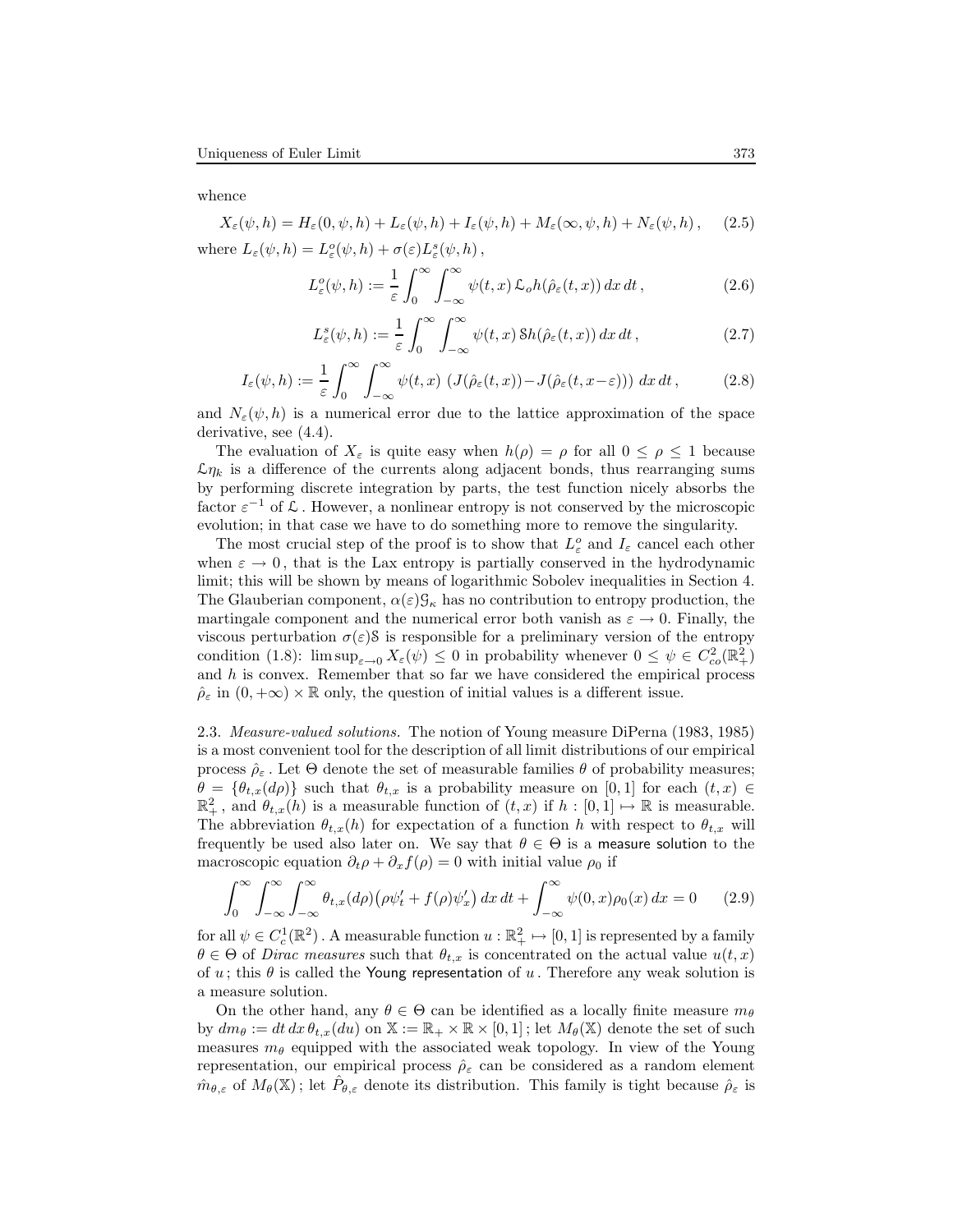whence

$$
X_{\varepsilon}(\psi, h) = H_{\varepsilon}(0, \psi, h) + L_{\varepsilon}(\psi, h) + I_{\varepsilon}(\psi, h) + M_{\varepsilon}(\infty, \psi, h) + N_{\varepsilon}(\psi, h), \quad (2.5)
$$
  
where  $L_{\varepsilon}(\psi, h) = L_{\varepsilon}(\psi, h) + \sigma(\varepsilon)L_{\varepsilon}(\psi, h),$ 

$$
L^o_{\varepsilon}(\psi, h) := \frac{1}{\varepsilon} \int_0^\infty \int_{-\infty}^\infty \psi(t, x) \, \mathcal{L}_o h(\hat{\rho}_{\varepsilon}(t, x)) \, dx \, dt \,, \tag{2.6}
$$

$$
L_{\varepsilon}^{s}(\psi, h) := \frac{1}{\varepsilon} \int_{0}^{\infty} \int_{-\infty}^{\infty} \psi(t, x) \, \delta h(\hat{\rho}_{\varepsilon}(t, x)) \, dx \, dt \,, \tag{2.7}
$$

$$
I_{\varepsilon}(\psi, h) := \frac{1}{\varepsilon} \int_0^{\infty} \int_{-\infty}^{\infty} \psi(t, x) \left( J(\hat{\rho}_{\varepsilon}(t, x)) - J(\hat{\rho}_{\varepsilon}(t, x - \varepsilon)) \right) dx dt,
$$
 (2.8)

and  $N_{\varepsilon}(\psi, h)$  is a numerical error due to the lattice approximation of the space derivative, see (4.4).

The evaluation of  $X_{\varepsilon}$  is quite easy when  $h(\rho) = \rho$  for all  $0 \leq \rho \leq 1$  because  $\mathcal{L}\eta_k$  is a difference of the currents along adjacent bonds, thus rearranging sums by performing discrete integration by parts, the test function nicely absorbs the factor  $\varepsilon^{-1}$  of  $\mathcal L$ . However, a nonlinear entropy is not conserved by the microscopic evolution; in that case we have to do something more to remove the singularity.

The most crucial step of the proof is to show that  $L_{\varepsilon}^o$  and  $I_{\varepsilon}$  cancel each other when  $\varepsilon \to 0$ , that is the Lax entropy is partially conserved in the hydrodynamic limit; this will be shown by means of logarithmic Sobolev inequalities in Section 4. The Glauberian component,  $\alpha(\varepsilon) \mathcal{G}_{\kappa}$  has no contribution to entropy production, the martingale component and the numerical error both vanish as  $\varepsilon \to 0$ . Finally, the viscous perturbation  $\sigma(\varepsilon)$ S is responsible for a preliminary version of the entropy condition (1.8):  $\limsup_{\varepsilon \to 0} X_{\varepsilon}(\psi) \leq 0$  in probability whenever  $0 \leq \psi \in C^2_{co}(\mathbb{R}^2_+)$ and  $h$  is convex. Remember that so far we have considered the empirical process  $\rho_{\varepsilon}$  in  $(0, +\infty) \times \mathbb{R}$  only, the question of initial values is a different issue.

2.3. Measure-valued solutions. The notion of Young measure DiPerna (1983, 1985) is a most convenient tool for the description of all limit distributions of our empirical process  $\hat{\rho}_{\varepsilon}$ . Let  $\Theta$  denote the set of measurable families  $\theta$  of probability measures;  $\theta = {\theta_{t,x}(d\rho)}$  such that  $\theta_{t,x}$  is a probability measure on [0,1] for each  $(t,x) \in$  $\mathbb{R}^2_+$ , and  $\theta_{t,x}(h)$  is a measurable function of  $(t,x)$  if  $h:[0,1]\mapsto \mathbb{R}$  is measurable. The abbreviation  $\theta_{t,x}(h)$  for expectation of a function h with respect to  $\theta_{t,x}$  will frequently be used also later on. We say that  $\theta \in \Theta$  is a measure solution to the macroscopic equation  $\partial_t \rho + \partial_x f(\rho) = 0$  with initial value  $\rho_0$  if

$$
\int_0^\infty \int_{-\infty}^\infty \int_{-\infty}^\infty \theta_{t,x}(d\rho) \left(\rho \psi_t' + f(\rho) \psi_x'\right) dx dt + \int_{-\infty}^\infty \psi(0,x)\rho_0(x) dx = 0 \qquad (2.9)
$$

for all  $\psi \in C_c^1(\mathbb{R}^2)$ . A measurable function  $u : \mathbb{R}_+^2 \mapsto [0, 1]$  is represented by a family  $\theta \in \Theta$  of *Dirac measures* such that  $\theta_{t,x}$  is concentrated on the actual value  $u(t,x)$ of u; this  $\theta$  is called the Young representation of u. Therefore any weak solution is a measure solution.

On the other hand, any  $\theta \in \Theta$  can be identified as a locally finite measure  $m_{\theta}$ by  $dm_{\theta} := dt dx \theta_{t,x}(du)$  on  $\mathbb{X} := \mathbb{R}_+ \times \mathbb{R} \times [0,1]$ ; let  $M_{\theta}(\mathbb{X})$  denote the set of such measures  $m_{\theta}$  equipped with the associated weak topology. In view of the Young representation, our empirical process  $\rho_{\varepsilon}$  can be considered as a random element  $\hat{m}_{\theta,\varepsilon}$  of  $M_\theta(\mathbb{X})$ ; let  $\hat{P}_{\theta,\varepsilon}$  denote its distribution. This family is tight because  $\hat{\rho}_{\varepsilon}$  is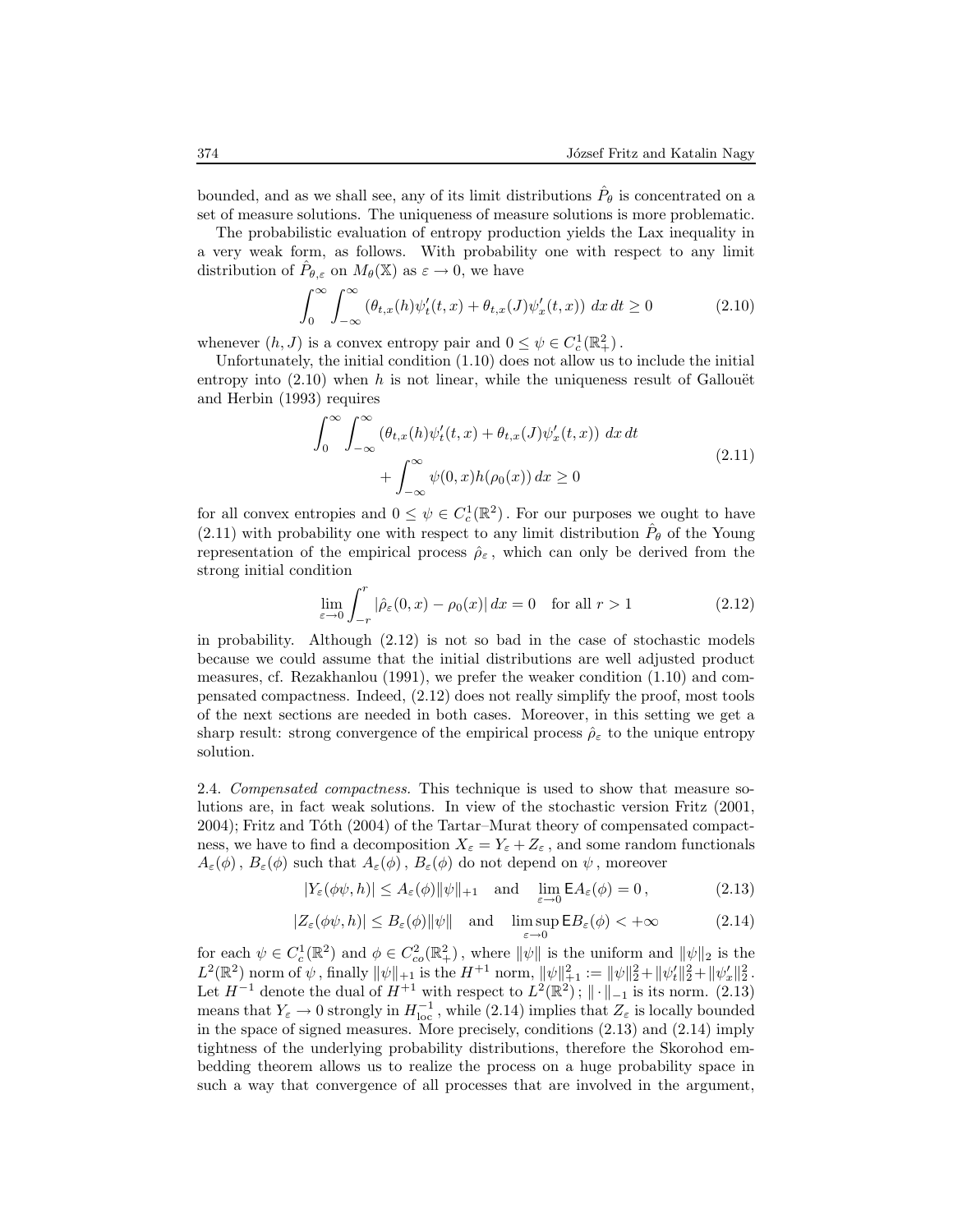bounded, and as we shall see, any of its limit distributions  $\hat{P}_{\theta}$  is concentrated on a set of measure solutions. The uniqueness of measure solutions is more problematic.

The probabilistic evaluation of entropy production yields the Lax inequality in a very weak form, as follows. With probability one with respect to any limit distribution of  $\hat{P}_{\theta,\varepsilon}$  on  $M_{\theta}(\mathbb{X})$  as  $\varepsilon \to 0$ , we have

$$
\int_0^\infty \int_{-\infty}^\infty \left(\theta_{t,x}(h)\psi_t'(t,x) + \theta_{t,x}(J)\psi_x'(t,x)\right) dx dt \ge 0
$$
\n(2.10)

whenever  $(h, J)$  is a convex entropy pair and  $0 \leq \psi \in C_c^1(\mathbb{R}^2_+)$ .

Unfortunately, the initial condition (1.10) does not allow us to include the initial entropy into  $(2.10)$  when h is not linear, while the uniqueness result of Gallouët and Herbin (1993) requires

$$
\int_0^\infty \int_{-\infty}^\infty \left(\theta_{t,x}(h)\psi_t'(t,x) + \theta_{t,x}(J)\psi_x'(t,x)\right) dx dt
$$
  
+ 
$$
\int_{-\infty}^\infty \psi(0,x)h(\rho_0(x)) dx \ge 0
$$
 (2.11)

for all convex entropies and  $0 \leq \psi \in C_c^1(\mathbb{R}^2)$ . For our purposes we ought to have  $(2.11)$  with probability one with respect to any limit distribution  $\hat{P}_{\theta}$  of the Young representation of the empirical process  $\hat{\rho}_{\varepsilon}$ , which can only be derived from the strong initial condition

$$
\lim_{\varepsilon \to 0} \int_{-r}^{r} |\hat{\rho}_{\varepsilon}(0, x) - \rho_0(x)| dx = 0 \quad \text{for all } r > 1 \tag{2.12}
$$

in probability. Although (2.12) is not so bad in the case of stochastic models because we could assume that the initial distributions are well adjusted product measures, cf. Rezakhanlou (1991), we prefer the weaker condition (1.10) and compensated compactness. Indeed, (2.12) does not really simplify the proof, most tools of the next sections are needed in both cases. Moreover, in this setting we get a sharp result: strong convergence of the empirical process  $\hat{\rho}_{\varepsilon}$  to the unique entropy solution.

2.4. Compensated compactness. This technique is used to show that measure solutions are, in fact weak solutions. In view of the stochastic version Fritz (2001, 2004); Fritz and Tóth (2004) of the Tartar–Murat theory of compensated compactness, we have to find a decomposition  $X_{\varepsilon} = Y_{\varepsilon} + Z_{\varepsilon}$ , and some random functionals  $A_\varepsilon(\phi)$ ,  $B_\varepsilon(\phi)$  such that  $A_\varepsilon(\phi)$ ,  $B_\varepsilon(\phi)$  do not depend on  $\psi$ , moreover

$$
|Y_{\varepsilon}(\phi\psi, h)| \le A_{\varepsilon}(\phi) \|\psi\|_{+1} \quad \text{and} \quad \lim_{\varepsilon \to 0} \mathsf{E}A_{\varepsilon}(\phi) = 0, \tag{2.13}
$$

$$
|Z_{\varepsilon}(\phi\psi, h)| \le B_{\varepsilon}(\phi) \|\psi\| \quad \text{and} \quad \limsup_{\varepsilon \to 0} \mathsf{E}B_{\varepsilon}(\phi) < +\infty \tag{2.14}
$$

for each  $\psi \in C_c^1(\mathbb{R}^2)$  and  $\phi \in C_{co}^2(\mathbb{R}^2_+)$ , where  $\|\psi\|$  is the uniform and  $\|\psi\|_2$  is the  $L^2(\mathbb{R}^2)$  norm of  $\psi$ , finally  $\|\psi\|_{+1}$  is the  $H^{+1}$  norm,  $\|\psi\|_{+1}^2 := \|\psi\|_2^2 + \|\psi_t'\|_2^2 + \|\psi_x'\|_2^2$ . Let  $H^{-1}$  denote the dual of  $H^{+1}$  with respect to  $L^2(\mathbb{R}^2)$ ;  $\|\cdot\|_{-1}$  is its norm. (2.13) means that  $Y_{\varepsilon} \to 0$  strongly in  $H_{\text{loc}}^{-1}$ , while (2.14) implies that  $Z_{\varepsilon}$  is locally bounded in the space of signed measures. More precisely, conditions (2.13) and (2.14) imply tightness of the underlying probability distributions, therefore the Skorohod embedding theorem allows us to realize the process on a huge probability space in such a way that convergence of all processes that are involved in the argument,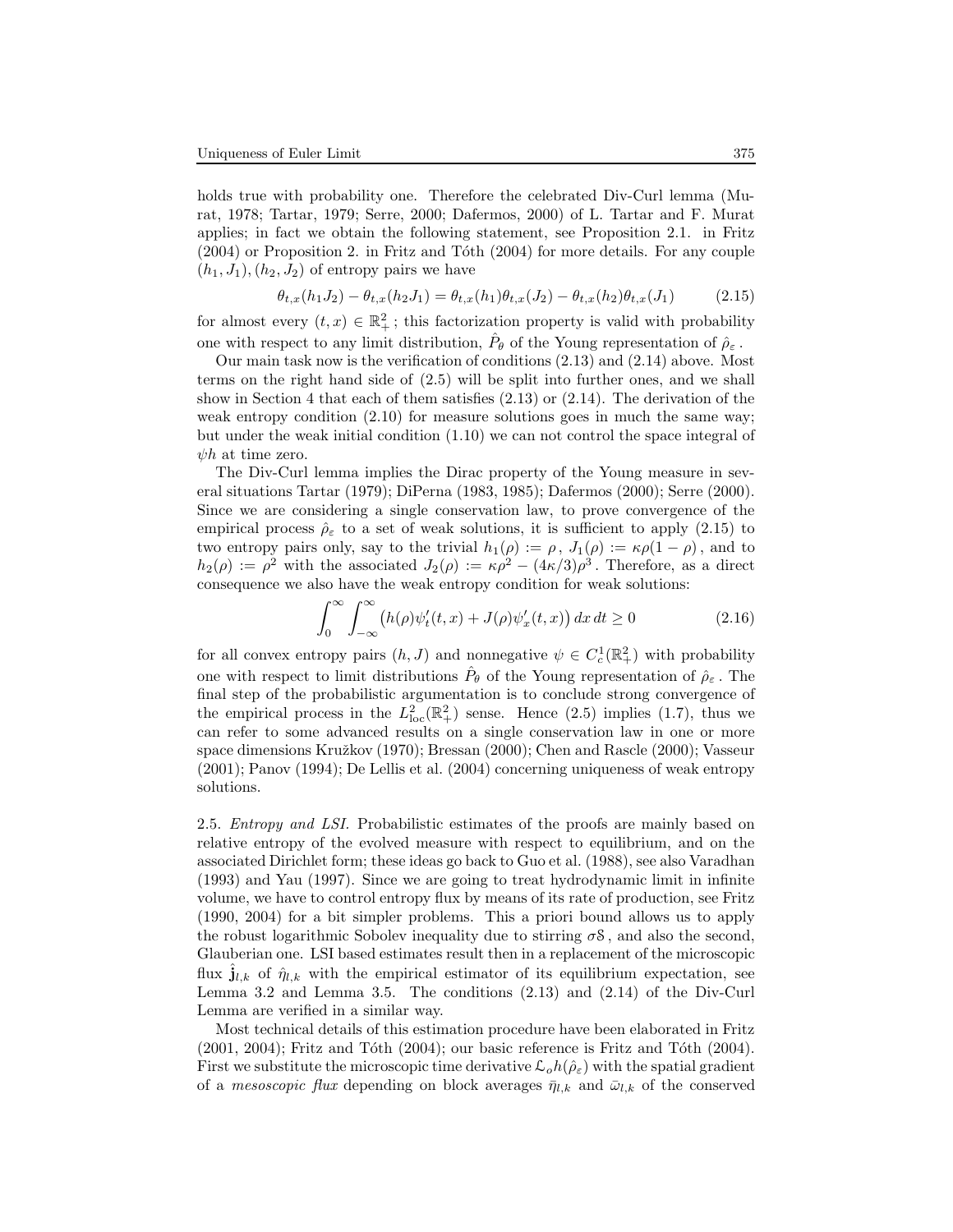holds true with probability one. Therefore the celebrated Div-Curl lemma (Murat, 1978; Tartar, 1979; Serre, 2000; Dafermos, 2000) of L. Tartar and F. Murat applies; in fact we obtain the following statement, see Proposition 2.1. in Fritz  $(2004)$  or Proposition 2. in Fritz and Tóth  $(2004)$  for more details. For any couple  $(h_1, J_1), (h_2, J_2)$  of entropy pairs we have

$$
\theta_{t,x}(h_1 J_2) - \theta_{t,x}(h_2 J_1) = \theta_{t,x}(h_1)\theta_{t,x}(J_2) - \theta_{t,x}(h_2)\theta_{t,x}(J_1)
$$
\n(2.15)

for almost every  $(t, x) \in \mathbb{R}^2_+$ ; this factorization property is valid with probability one with respect to any limit distribution,  $\hat{P}_{\theta}$  of the Young representation of  $\hat{\rho}_{\varepsilon}$ .

Our main task now is the verification of conditions (2.13) and (2.14) above. Most terms on the right hand side of (2.5) will be split into further ones, and we shall show in Section 4 that each of them satisfies  $(2.13)$  or  $(2.14)$ . The derivation of the weak entropy condition  $(2.10)$  for measure solutions goes in much the same way; but under the weak initial condition (1.10) we can not control the space integral of  $\psi h$  at time zero.

The Div-Curl lemma implies the Dirac property of the Young measure in several situations Tartar (1979); DiPerna (1983, 1985); Dafermos (2000); Serre (2000). Since we are considering a single conservation law, to prove convergence of the empirical process  $\rho_{\varepsilon}$  to a set of weak solutions, it is sufficient to apply (2.15) to two entropy pairs only, say to the trivial  $h_1(\rho) := \rho, J_1(\rho) := \kappa \rho (1 - \rho)$ , and to  $h_2(\rho) := \rho^2$  with the associated  $J_2(\rho) := \kappa \rho^2 - (4\kappa/3)\rho^3$ . Therefore, as a direct consequence we also have the weak entropy condition for weak solutions:

$$
\int_0^\infty \int_{-\infty}^\infty \left( h(\rho)\psi_t'(t,x) + J(\rho)\psi_x'(t,x) \right) dx \, dt \ge 0 \tag{2.16}
$$

for all convex entropy pairs  $(h, J)$  and nonnegative  $\psi \in C_c^1(\mathbb{R}^2_+)$  with probability one with respect to limit distributions  $\hat{P}_{\theta}$  of the Young representation of  $\hat{\rho}_{\varepsilon}$ . The final step of the probabilistic argumentation is to conclude strong convergence of the empirical process in the  $L_{\text{loc}}^2(\mathbb{R}^2_+)$  sense. Hence (2.5) implies (1.7), thus we can refer to some advanced results on a single conservation law in one or more space dimensions Kružkov (1970); Bressan (2000); Chen and Rascle (2000); Vasseur (2001); Panov (1994); De Lellis et al. (2004) concerning uniqueness of weak entropy solutions.

2.5. *Entropy and LSI*. Probabilistic estimates of the proofs are mainly based on relative entropy of the evolved measure with respect to equilibrium, and on the associated Dirichlet form; these ideas go back to Guo et al. (1988), see also Varadhan (1993) and Yau (1997). Since we are going to treat hydrodynamic limit in infinite volume, we have to control entropy flux by means of its rate of production, see Fritz (1990, 2004) for a bit simpler problems. This a priori bound allows us to apply the robust logarithmic Sobolev inequality due to stirring  $\sigma$ S, and also the second, Glauberian one. LSI based estimates result then in a replacement of the microscopic flux  $\hat{\mathbf{j}}_{l,k}$  of  $\hat{\eta}_{l,k}$  with the empirical estimator of its equilibrium expectation, see Lemma 3.2 and Lemma 3.5. The conditions (2.13) and (2.14) of the Div-Curl Lemma are verified in a similar way.

Most technical details of this estimation procedure have been elaborated in Fritz  $(2001, 2004)$ ; Fritz and Tóth  $(2004)$ ; our basic reference is Fritz and Tóth  $(2004)$ . First we substitute the microscopic time derivative  $\mathcal{L}_o h(\hat{\rho}_\varepsilon)$  with the spatial gradient of a *mesoscopic flux* depending on block averages  $\bar{\eta}_{l,k}$  and  $\bar{\omega}_{l,k}$  of the conserved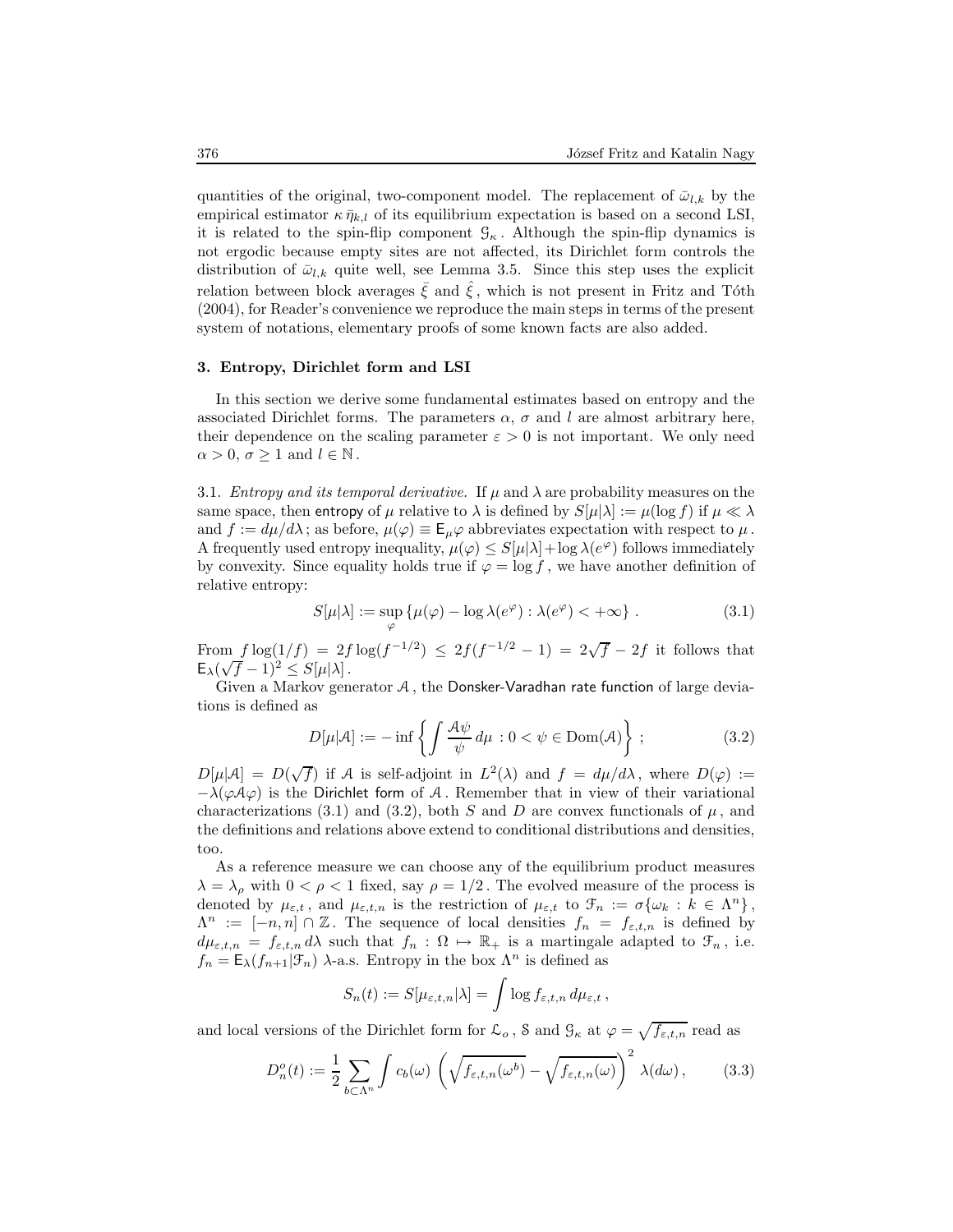quantities of the original, two-component model. The replacement of  $\bar{\omega}_{l,k}$  by the empirical estimator  $\kappa \bar{\eta}_{k,l}$  of its equilibrium expectation is based on a second LSI, it is related to the spin-flip component  $\mathcal{G}_{\kappa}$ . Although the spin-flip dynamics is not ergodic because empty sites are not affected, its Dirichlet form controls the distribution of  $\bar{\omega}_{l,k}$  quite well, see Lemma 3.5. Since this step uses the explicit relation between block averages  $\bar{\xi}$  and  $\hat{\xi}$ , which is not present in Fritz and Tóth (2004), for Reader's convenience we reproduce the main steps in terms of the present system of notations, elementary proofs of some known facts are also added.

## 3. Entropy, Dirichlet form and LSI

In this section we derive some fundamental estimates based on entropy and the associated Dirichlet forms. The parameters  $\alpha$ ,  $\sigma$  and l are almost arbitrary here, their dependence on the scaling parameter  $\varepsilon > 0$  is not important. We only need  $\alpha > 0, \sigma \geq 1$  and  $l \in \mathbb{N}$ .

3.1. *Entropy and its temporal derivative.* If  $\mu$  and  $\lambda$  are probability measures on the same space, then entropy of  $\mu$  relative to  $\lambda$  is defined by  $S[\mu|\lambda] := \mu(\log f)$  if  $\mu \ll \lambda$ and  $f := d\mu/d\lambda$ ; as before,  $\mu(\varphi) \equiv \mathsf{E}_{\mu}\varphi$  abbreviates expectation with respect to  $\mu$ . A frequently used entropy inequality,  $\mu(\varphi) \leq S[\mu|\lambda] + \log \lambda(e^{\varphi})$  follows immediately by convexity. Since equality holds true if  $\varphi = \log f$ , we have another definition of relative entropy:

$$
S[\mu|\lambda] := \sup_{\varphi} \{ \mu(\varphi) - \log \lambda(e^{\varphi}) : \lambda(e^{\varphi}) < +\infty \} \tag{3.1}
$$

From  $f \log(1/f) = 2f \log(f^{-1/2}) \leq 2f(f^{-1/2} - 1) = 2\sqrt{f} - 2f$  it follows that  $E_{\lambda}(\sqrt{f}-1)^2 \leq S[\mu|\lambda].$ 

Given a Markov generator A , the Donsker-Varadhan rate function of large deviations is defined as

$$
D[\mu|\mathcal{A}] := -\inf \left\{ \int \frac{\mathcal{A}\psi}{\psi} d\mu : 0 < \psi \in \text{Dom}(\mathcal{A}) \right\};\tag{3.2}
$$

 $D[\mu|\mathcal{A}] = D(\sqrt{f})$  if A is self-adjoint in  $L^2(\lambda)$  and  $f = d\mu/d\lambda$ , where  $D(\varphi) :=$  $-\lambda(\varphi A\varphi)$  is the Dirichlet form of A. Remember that in view of their variational characterizations (3.1) and (3.2), both S and D are convex functionals of  $\mu$ , and the definitions and relations above extend to conditional distributions and densities, too.

As a reference measure we can choose any of the equilibrium product measures  $\lambda = \lambda_{\rho}$  with  $0 < \rho < 1$  fixed, say  $\rho = 1/2$ . The evolved measure of the process is denoted by  $\mu_{\varepsilon,t}$ , and  $\mu_{\varepsilon,t,n}$  is the restriction of  $\mu_{\varepsilon,t}$  to  $\mathcal{F}_n := \sigma\{\omega_k : k \in \Lambda^n\},\$  $\Lambda^n := [-n, n] \cap \mathbb{Z}$ . The sequence of local densities  $f_n = f_{\varepsilon,t,n}$  is defined by  $d\mu_{\varepsilon,t,n} = f_{\varepsilon,t,n} d\lambda$  such that  $f_n : \Omega \mapsto \mathbb{R}_+$  is a martingale adapted to  $\mathcal{F}_n$ , i.e.  $f_n = \mathsf{E}_{\lambda}(f_{n+1}|\mathcal{F}_n)$   $\lambda$ -a.s. Entropy in the box  $\Lambda^n$  is defined as

$$
S_n(t) := S[\mu_{\varepsilon,t,n}|\lambda] = \int \log f_{\varepsilon,t,n} \, d\mu_{\varepsilon,t} \,,
$$

and local versions of the Dirichlet form for  $\mathcal{L}_o$ ,  $\delta$  and  $\mathcal{G}_{\kappa}$  at  $\varphi = \sqrt{f_{\varepsilon,t,n}}$  read as

$$
D_n^o(t) := \frac{1}{2} \sum_{b \subset \Lambda^n} \int c_b(\omega) \left( \sqrt{f_{\varepsilon,t,n}(\omega^b)} - \sqrt{f_{\varepsilon,t,n}(\omega)} \right)^2 \lambda(d\omega), \quad (3.3)
$$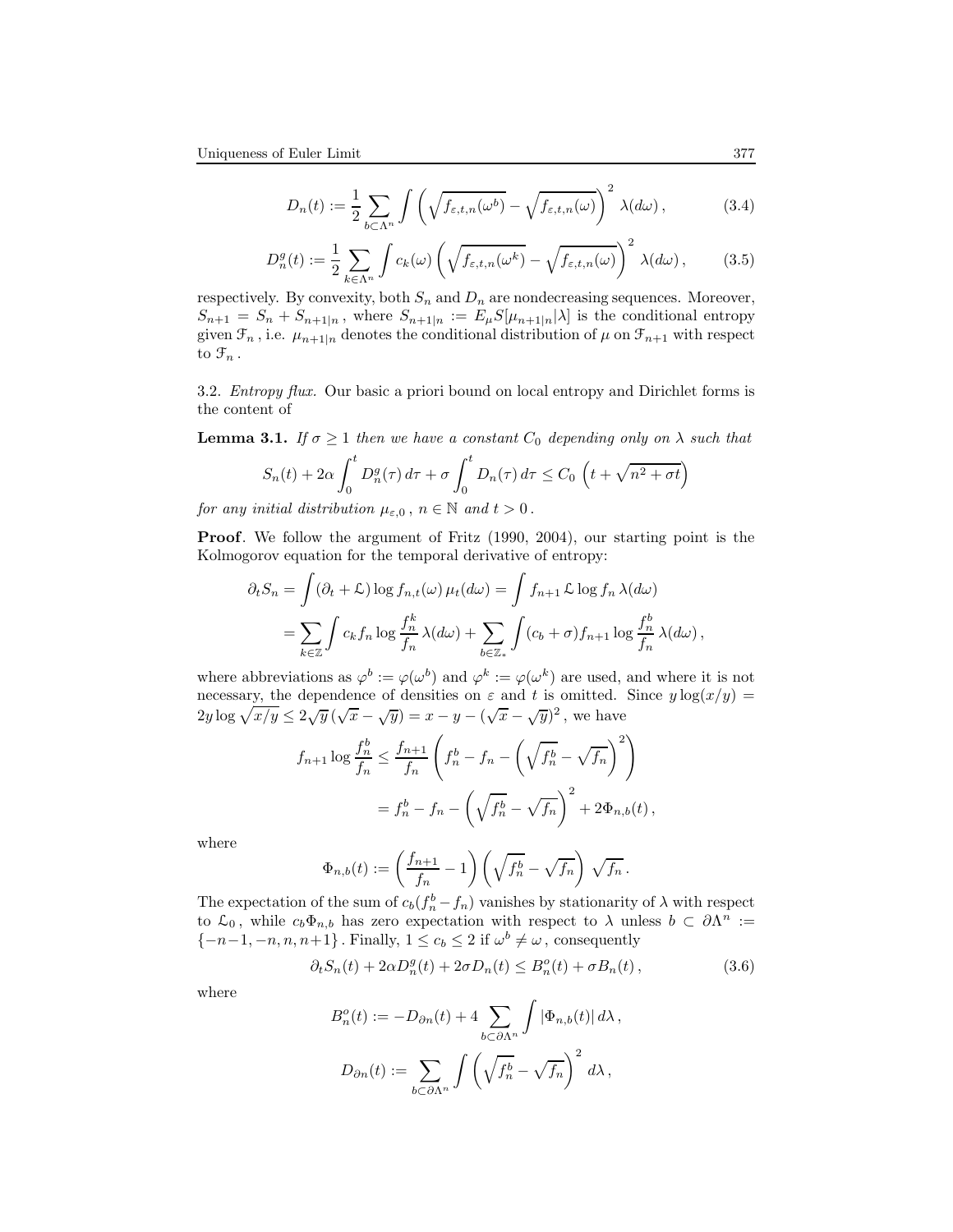$$
D_n(t) := \frac{1}{2} \sum_{b \subset \Lambda^n} \int \left( \sqrt{f_{\varepsilon,t,n}(\omega^b)} - \sqrt{f_{\varepsilon,t,n}(\omega)} \right)^2 \lambda(d\omega), \tag{3.4}
$$

$$
D_n^g(t) := \frac{1}{2} \sum_{k \in \Lambda^n} \int c_k(\omega) \left( \sqrt{f_{\varepsilon,t,n}(\omega^k)} - \sqrt{f_{\varepsilon,t,n}(\omega)} \right)^2 \lambda(d\omega), \tag{3.5}
$$

respectively. By convexity, both  $S_n$  and  $D_n$  are nondecreasing sequences. Moreover,  $S_{n+1} = S_n + S_{n+1|n}$ , where  $S_{n+1|n} := E_{\mu} S[\mu_{n+1|n}|\lambda]$  is the conditional entropy given  $\mathcal{F}_n$ , i.e.  $\mu_{n+1|n}$  denotes the conditional distribution of  $\mu$  on  $\mathcal{F}_{n+1}$  with respect to  $\mathfrak{F}_n$ .

3.2. Entropy flux. Our basic a priori bound on local entropy and Dirichlet forms is the content of

**Lemma 3.1.** If  $\sigma \geq 1$  then we have a constant  $C_0$  depending only on  $\lambda$  such that  $\int_0^t$  $\int_0^t$  $\sqrt{ }$  $\sqrt{}$  $\overline{n^2 + \sigma t}$ 

$$
S_n(t) + 2\alpha \int_0^t D_n^g(\tau) d\tau + \sigma \int_0^t D_n(\tau) d\tau \le C_0 \left( t + \sqrt{n^2 + \sigma^2} \right)
$$

for any initial distribution  $\mu_{\varepsilon,0}$ ,  $n \in \mathbb{N}$  and  $t > 0$ .

Proof. We follow the argument of Fritz (1990, 2004), our starting point is the Kolmogorov equation for the temporal derivative of entropy:

$$
\partial_t S_n = \int (\partial_t + \mathcal{L}) \log f_{n,t}(\omega) \,\mu_t(d\omega) = \int f_{n+1} \mathcal{L} \log f_n \,\lambda(d\omega)
$$

$$
= \sum_{k \in \mathbb{Z}} \int c_k f_n \log \frac{f_n^k}{f_n} \,\lambda(d\omega) + \sum_{b \in \mathbb{Z}_*} \int (c_b + \sigma) f_{n+1} \log \frac{f_n^b}{f_n} \,\lambda(d\omega),
$$

where abbreviations as  $\varphi^b := \varphi(\omega^b)$  and  $\varphi^k := \varphi(\omega^k)$  are used, and where it is not necessary, the dependence of densities on  $\varepsilon$  and t is omitted. Since  $y \log(x/y) =$  $2y \log \sqrt{x/y} \leq 2\sqrt{y} (\sqrt{x} - \sqrt{y}) = x - y - (\sqrt{x} - \sqrt{y})^2$ , we have

$$
f_{n+1} \log \frac{f_n^b}{f_n} \le \frac{f_{n+1}}{f_n} \left( f_n^b - f_n - \left( \sqrt{f_n^b} - \sqrt{f_n} \right)^2 \right)
$$
  
=  $f_n^b - f_n - \left( \sqrt{f_n^b} - \sqrt{f_n} \right)^2 + 2\Phi_{n,b}(t),$ 

where

$$
\Phi_{n,b}(t) := \left(\frac{f_{n+1}}{f_n} - 1\right) \left(\sqrt{f_n^b} - \sqrt{f_n}\right) \sqrt{f_n}.
$$

The expectation of the sum of  $c_b(f_n^b - f_n)$  vanishes by stationarity of  $\lambda$  with respect to  $\mathcal{L}_0$ , while  $c_b\Phi_{n,b}$  has zero expectation with respect to  $\lambda$  unless  $b \subset \partial \Lambda^n :=$  $\{-n-1, -n, n, n+1\}$ . Finally,  $1 \le c_b \le 2$  if  $\omega^b \ne \omega$ , consequently

$$
\partial_t S_n(t) + 2\alpha D_n^g(t) + 2\sigma D_n(t) \leq B_n^o(t) + \sigma B_n(t),\tag{3.6}
$$

where

$$
B_n^o(t) := -D_{\partial n}(t) + 4 \sum_{b \subset \partial \Lambda^n} \int |\Phi_{n,b}(t)| d\lambda,
$$
  

$$
D_{\partial n}(t) := \sum_{b \subset \partial \Lambda^n} \int \left(\sqrt{f_n^b} - \sqrt{f_n}\right)^2 d\lambda,
$$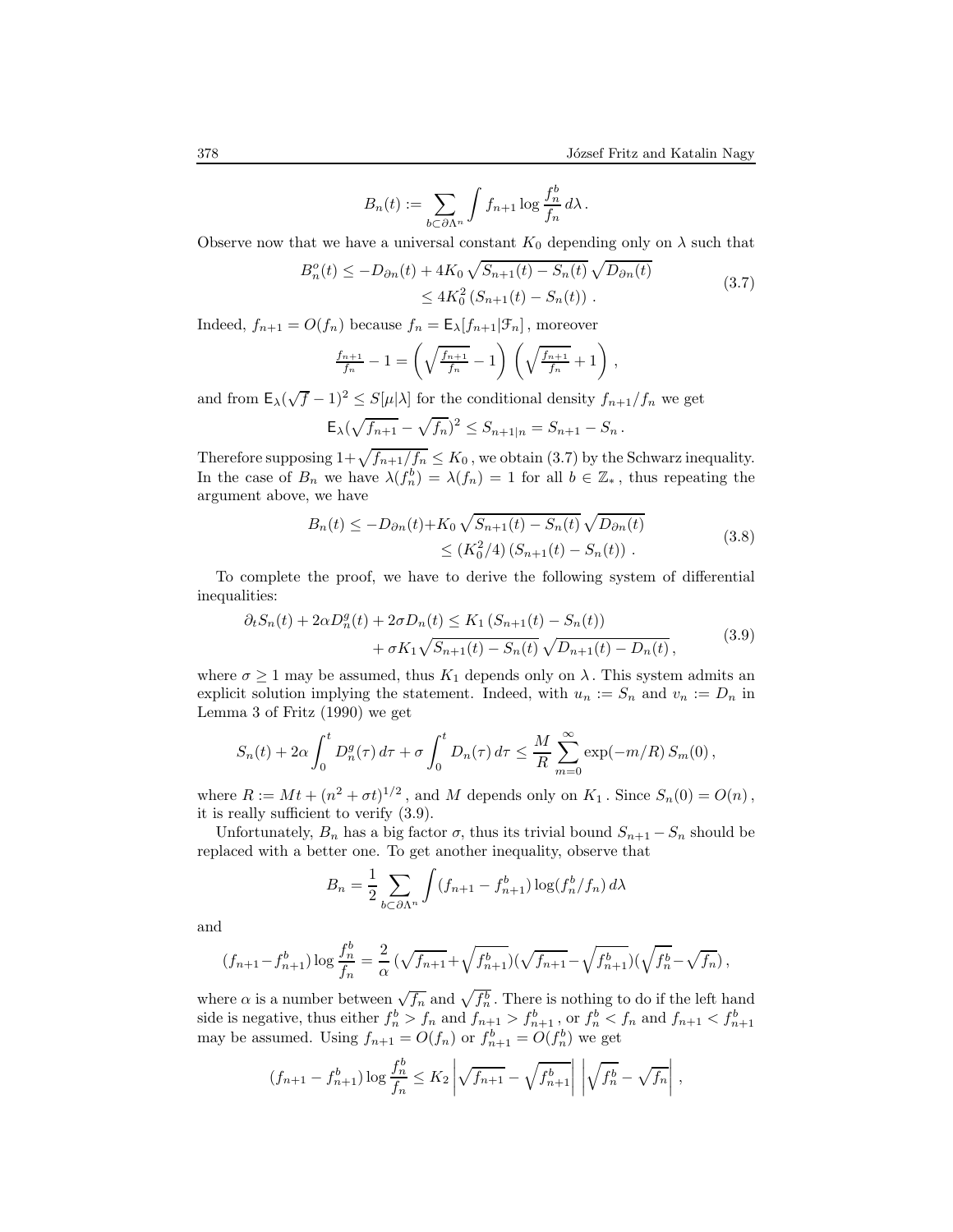$$
B_n(t) := \sum_{b \subset \partial \Lambda^n} \int f_{n+1} \log \frac{f_n^b}{f_n} d\lambda.
$$

Observe now that we have a universal constant  $K_0$  depending only on  $\lambda$  such that

$$
B_n^o(t) \le -D_{\partial n}(t) + 4K_0 \sqrt{S_{n+1}(t) - S_n(t)} \sqrt{D_{\partial n}(t)}
$$
  
 
$$
\le 4K_0^2 (S_{n+1}(t) - S_n(t)).
$$
 (3.7)

Indeed,  $f_{n+1} = O(f_n)$  because  $f_n = \mathsf{E}_{\lambda}[f_{n+1}|\mathcal{F}_n]$ , moreover

$$
\frac{f_{n+1}}{f_n} - 1 = \left(\sqrt{\frac{f_{n+1}}{f_n}} - 1\right) \left(\sqrt{\frac{f_{n+1}}{f_n}} + 1\right),
$$

and from  $\mathsf{E}_{\lambda}(\sqrt{f}-1)^2 \leq S[\mu|\lambda]$  for the conditional density  $f_{n+1}/f_n$  we get

$$
\mathsf{E}_{\lambda}(\sqrt{f_{n+1}} - \sqrt{f_n})^2 \le S_{n+1|n} = S_{n+1} - S_n.
$$

Therefore supposing  $1+\sqrt{f_{n+1}/f_n} \leq K_0$ , we obtain (3.7) by the Schwarz inequality. In the case of  $B_n$  we have  $\lambda(f_n^b) = \lambda(f_n) = 1$  for all  $b \in \mathbb{Z}_*$ , thus repeating the argument above, we have

$$
B_n(t) \le -D_{\partial n}(t) + K_0 \sqrt{S_{n+1}(t) - S_n(t)} \sqrt{D_{\partial n}(t)}
$$
  
\$\le (K\_0^2/4) (S\_{n+1}(t) - S\_n(t))\$ .

To complete the proof, we have to derive the following system of differential inequalities:

$$
\partial_t S_n(t) + 2\alpha D_n^g(t) + 2\sigma D_n(t) \le K_1 \left( S_{n+1}(t) - S_n(t) \right) + \sigma K_1 \sqrt{S_{n+1}(t) - S_n(t)} \sqrt{D_{n+1}(t) - D_n(t)},
$$
(3.9)

where  $\sigma \geq 1$  may be assumed, thus  $K_1$  depends only on  $\lambda$ . This system admits an explicit solution implying the statement. Indeed, with  $u_n := S_n$  and  $v_n := D_n$  in Lemma 3 of Fritz (1990) we get

$$
S_n(t) + 2\alpha \int_0^t D_n^g(\tau) d\tau + \sigma \int_0^t D_n(\tau) d\tau \leq \frac{M}{R} \sum_{m=0}^\infty \exp(-m/R) S_m(0),
$$

where  $R := Mt + (n^2 + \sigma t)^{1/2}$ , and M depends only on  $K_1$ . Since  $S_n(0) = O(n)$ , it is really sufficient to verify (3.9).

Unfortunately,  $B_n$  has a big factor  $\sigma$ , thus its trivial bound  $S_{n+1} - S_n$  should be replaced with a better one. To get another inequality, observe that

$$
B_n = \frac{1}{2} \sum_{b \subset \partial \Lambda^n} \int (f_{n+1} - f_{n+1}^b) \log(f_n^b / f_n) d\lambda
$$

and

$$
(f_{n+1}-f_{n+1}^b)\log\frac{f_n^b}{f_n}=\frac{2}{\alpha}\left(\sqrt{f_{n+1}}+\sqrt{f_{n+1}^b}\right)(\sqrt{f_{n+1}}-\sqrt{f_{n+1}^b})(\sqrt{f_n^b}-\sqrt{f_n}),
$$

where  $\alpha$  is a number between  $\sqrt{f_n}$  and  $\sqrt{f_n^b}$ . There is nothing to do if the left hand side is negative, thus either  $f_n^b > f_n$  and  $f_{n+1} > f_{n+1}^b$ , or  $f_n^b < f_n$  and  $f_{n+1} < f_{n+1}^b$ may be assumed. Using  $f_{n+1} = O(f_n)$  or  $f_{n+1}^b = O(f_n^b)$  we get

$$
(f_{n+1} - f_{n+1}^b) \log \frac{f_n^b}{f_n} \le K_2 \left| \sqrt{f_{n+1}} - \sqrt{f_{n+1}^b} \right| \left| \sqrt{f_n^b} - \sqrt{f_n} \right|,
$$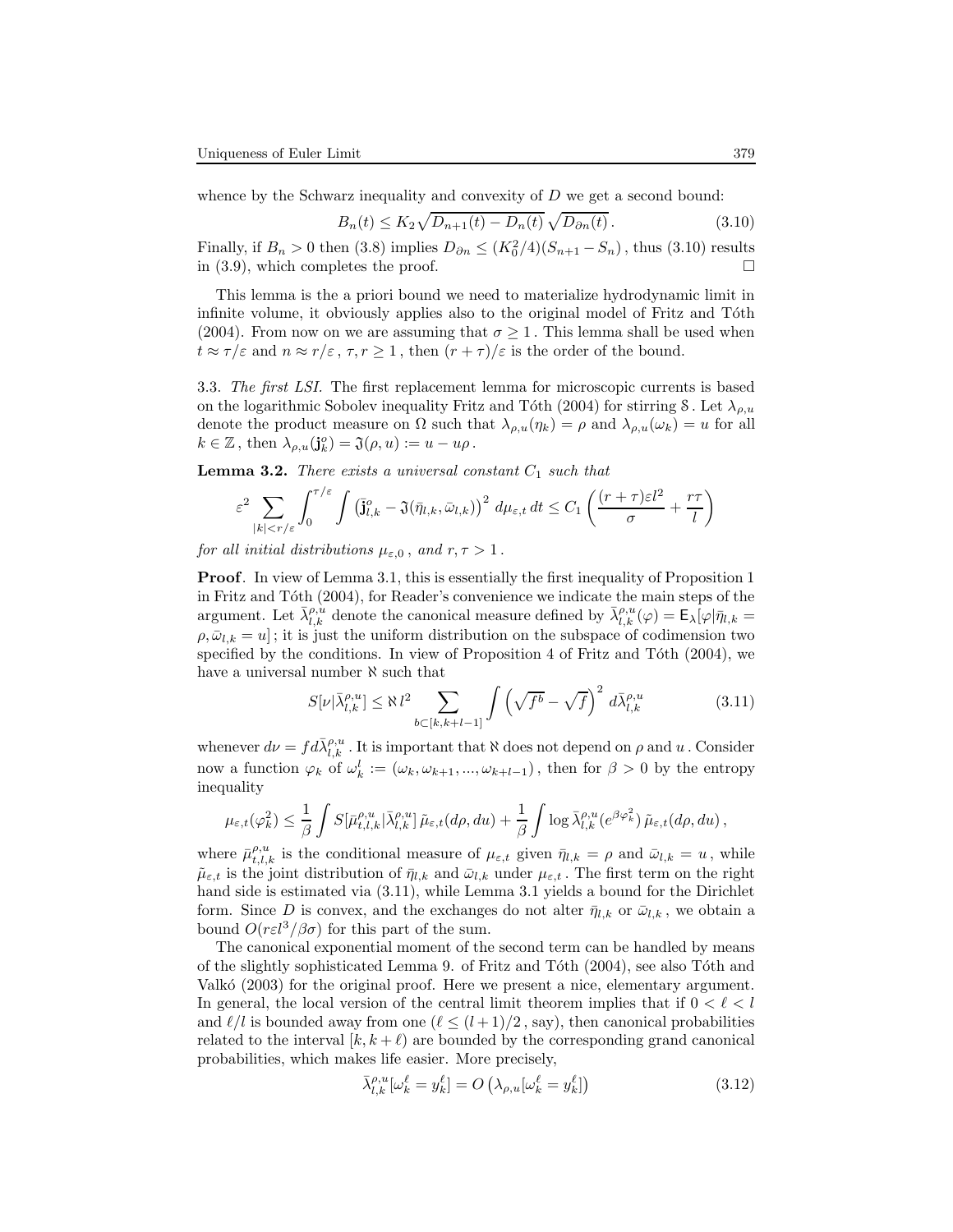whence by the Schwarz inequality and convexity of  $D$  we get a second bound:

$$
B_n(t) \le K_2 \sqrt{D_{n+1}(t) - D_n(t)} \sqrt{D_{\partial n}(t)}.
$$
\n(3.10)

Finally, if  $B_n > 0$  then (3.8) implies  $D_{\partial n} \le (K_0^2/4)(S_{n+1} - S_n)$ , thus (3.10) results in (3.9), which completes the proof.  $\square$ 

This lemma is the a priori bound we need to materialize hydrodynamic limit in infinite volume, it obviously applies also to the original model of Fritz and Tóth (2004). From now on we are assuming that  $\sigma > 1$ . This lemma shall be used when  $t \approx \tau/\varepsilon$  and  $n \approx r/\varepsilon$ ,  $\tau, r \ge 1$ , then  $(r + \tau)/\varepsilon$  is the order of the bound.

3.3. The first LSI. The first replacement lemma for microscopic currents is based on the logarithmic Sobolev inequality Fritz and Tóth (2004) for stirring S. Let  $\lambda_{o,u}$ denote the product measure on  $\Omega$  such that  $\lambda_{\rho,u}(\eta_k) = \rho$  and  $\lambda_{\rho,u}(\omega_k) = u$  for all  $k \in \mathbb{Z}$ , then  $\lambda_{\rho, u}(\mathbf{j}_{k}^{\rho}) = \mathfrak{J}(\rho, u) := u - u\rho$ .

**Lemma 3.2.** There exists a universal constant  $C_1$  such that

$$
\varepsilon^2 \sum_{|k| < r/\varepsilon} \int_0^{\tau/\varepsilon} \int \left(\overline{\mathbf{j}}_{l,k}^o - \mathfrak{J}(\overline{\eta}_{l,k}, \overline{\omega}_{l,k})\right)^2 \, d\mu_{\varepsilon,t} \, dt \le C_1 \left(\frac{(r+\tau)\varepsilon l^2}{\sigma} + \frac{r\tau}{l}\right)
$$

for all initial distributions  $\mu_{\varepsilon,0}$ , and  $r, \tau > 1$ .

Proof. In view of Lemma 3.1, this is essentially the first inequality of Proposition 1 in Fritz and Tóth  $(2004)$ , for Reader's convenience we indicate the main steps of the argument. Let  $\bar{\lambda}_{l,k}^{\rho,\dot{u}}$  denote the canonical measure defined by  $\bar{\lambda}_{l,k}^{\rho,u}(\varphi) = \mathsf{E}_{\lambda}[\varphi|\bar{\eta}_{l,k} =$  $\rho, \bar{\omega}_{l,k} = u$ ; it is just the uniform distribution on the subspace of codimension two specified by the conditions. In view of Proposition 4 of Fritz and Tóth  $(2004)$ , we have a universal number  $\aleph$  such that

$$
S[\nu|\bar{\lambda}_{l,k}^{\rho,u}] \le \aleph \, l^2 \sum_{b \subset [k,k+l-1]} \int \left(\sqrt{f^b} - \sqrt{f}\right)^2 \, d\bar{\lambda}_{l,k}^{\rho,u} \tag{3.11}
$$

whenever  $d\nu = fd\bar{\lambda}_{l,k}^{\rho,u}$ . It is important that  $\aleph$  does not depend on  $\rho$  and  $u$ . Consider now a function  $\varphi_k$  of  $\omega_k^l := (\omega_k, \omega_{k+1}, ..., \omega_{k+l-1})$ , then for  $\beta > 0$  by the entropy inequality

$$
\mu_{\varepsilon,t}(\varphi_k^2) \leq \frac{1}{\beta} \int S[\bar{\mu}_{t,l,k}^{\rho,u}|\bar{\lambda}_{l,k}^{\rho,u}]\tilde{\mu}_{\varepsilon,t}(d\rho, du) + \frac{1}{\beta} \int \log \bar{\lambda}_{l,k}^{\rho,u}(e^{\beta \varphi_k^2})\tilde{\mu}_{\varepsilon,t}(d\rho, du),
$$

where  $\bar{\mu}_{t,l,k}^{\rho,u}$  is the conditional measure of  $\mu_{\varepsilon,t}$  given  $\bar{\eta}_{l,k} = \rho$  and  $\bar{\omega}_{l,k} = u$ , while  $\tilde{\mu}_{\varepsilon,t}$  is the joint distribution of  $\bar{\eta}_{l,k}$  and  $\bar{\omega}_{l,k}$  under  $\mu_{\varepsilon,t}$ . The first term on the right hand side is estimated via (3.11), while Lemma 3.1 yields a bound for the Dirichlet form. Since D is convex, and the exchanges do not alter  $\bar{\eta}_{l,k}$  or  $\bar{\omega}_{l,k}$ , we obtain a bound  $O(r\epsilon l^3/\beta \sigma)$  for this part of the sum.

The canonical exponential moment of the second term can be handled by means of the slightly sophisticated Lemma 9. of Fritz and T´oth (2004), see also T´oth and Valkó (2003) for the original proof. Here we present a nice, elementary argument. In general, the local version of the central limit theorem implies that if  $0 < \ell < l$ and  $\ell / l$  is bounded away from one  $(\ell \leq (l + 1)/2)$ , say), then canonical probabilities related to the interval  $[k, k + \ell]$  are bounded by the corresponding grand canonical probabilities, which makes life easier. More precisely,

$$
\bar{\lambda}_{l,k}^{\rho,u}[\omega_k^{\ell} = y_k^{\ell}] = O\left(\lambda_{\rho,u}[\omega_k^{\ell} = y_k^{\ell}]\right)
$$
\n(3.12)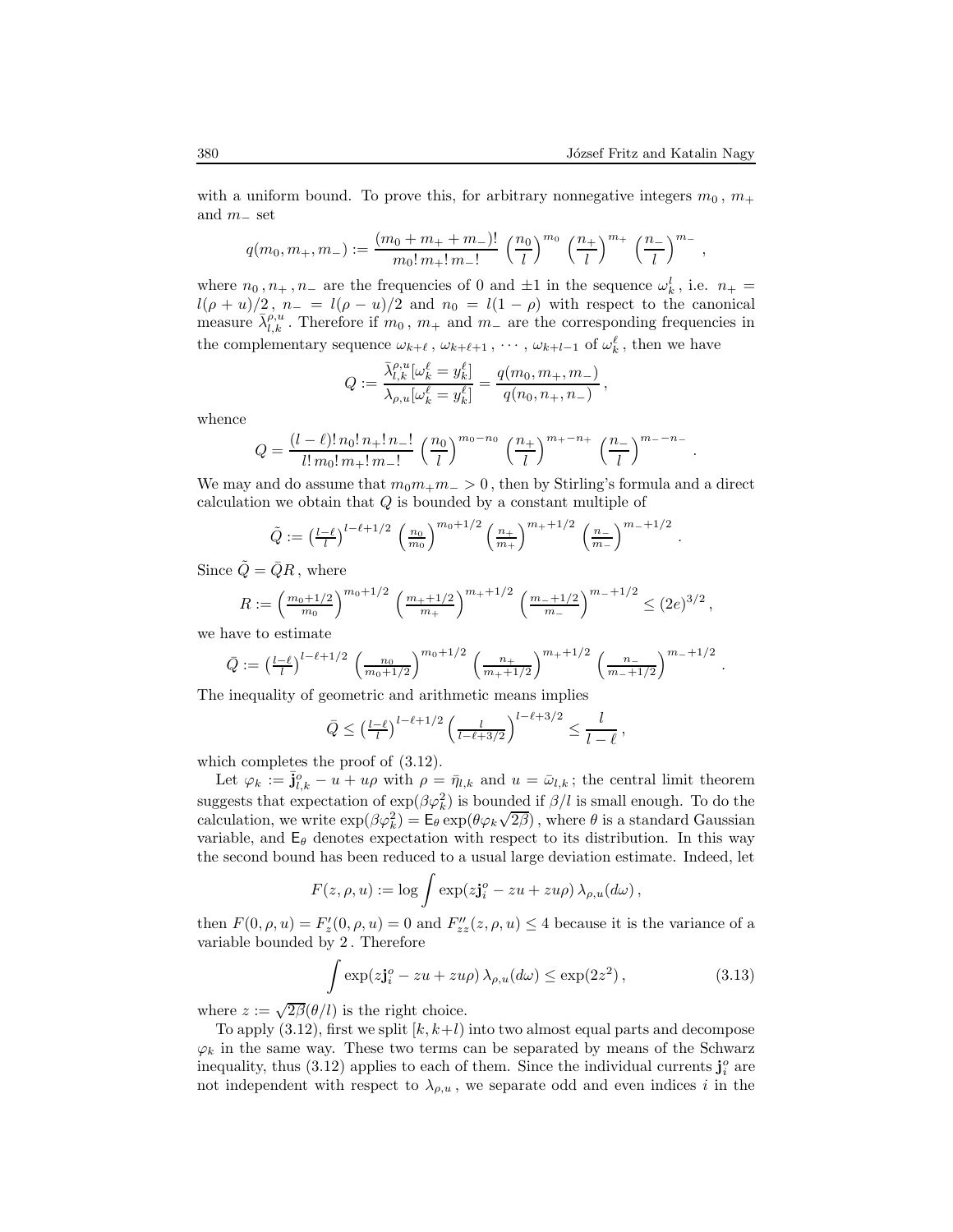,

.

with a uniform bound. To prove this, for arbitrary nonnegative integers  $m_0$ ,  $m_+$ and  $m_-\text{ set}$ 

$$
q(m_0, m_+, m_-) := \frac{(m_0 + m_+ + m_-)!}{m_0! m_+! m_-!} \left(\frac{n_0}{l}\right)^{m_0} \left(\frac{n_+}{l}\right)^{m_+} \left(\frac{n_-}{l}\right)^{m_-}
$$

where  $n_0, n_+, n_-$  are the frequencies of 0 and  $\pm 1$  in the sequence  $\omega_k^l$ , i.e.  $n_+ =$  $l(\rho + u)/2$ ,  $n_- = l(\rho - u)/2$  and  $n_0 = l(1 - \rho)$  with respect to the canonical measure  $\bar{\lambda}_{l,k}^{p,u}$ . Therefore if  $m_0$ ,  $m_+$  and  $m_-$  are the corresponding frequencies in the complementary sequence  $\omega_{k+\ell}$ ,  $\omega_{k+\ell+1}$ ,  $\cdots$ ,  $\omega_{k+l-1}$  of  $\omega_k^{\ell}$ , then we have

$$
Q := \frac{\bar{\lambda}_{l,k}^{\rho,u}[\omega_k^{\ell} = y_k^{\ell}]}{\lambda_{\rho,u}[\omega_k^{\ell} = y_k^{\ell}]} = \frac{q(m_0, m_+, m_-)}{q(n_0, n_+, n_-)},
$$

whence

$$
Q = \frac{(l - \ell)! n_0! n_+! n_-!}{l! m_0! m_+! m_-!} \left(\frac{n_0}{l}\right)^{m_0 - n_0} \left(\frac{n_+}{l}\right)^{m_+ - n_+} \left(\frac{n_-}{l}\right)^{m_- - n_-}.
$$

We may and do assume that  $m_0m_+m_$  > 0, then by Stirling's formula and a direct calculation we obtain that  $Q$  is bounded by a constant multiple of

$$
\tilde{Q} := \left(\frac{l-\ell}{l}\right)^{l-\ell+1/2} \left(\frac{n_0}{m_0}\right)^{m_0+1/2} \left(\frac{n_+}{m_+}\right)^{m_+ +1/2} \left(\frac{n_-}{m_-}\right)^{m_- +1/2}
$$

Since  $\tilde{Q} = \bar{Q}R$ , where

$$
R := \left(\frac{m_0 + 1/2}{m_0}\right)^{m_0 + 1/2} \left(\frac{m_+ + 1/2}{m_+}\right)^{m_+ + 1/2} \left(\frac{m_- + 1/2}{m_-}\right)^{m_- + 1/2} \leq (2e)^{3/2},
$$

we have to estimate

$$
\bar{Q} := \left(\frac{l-\ell}{l}\right)^{l-\ell+1/2} \left(\frac{n_0}{m_0+1/2}\right)^{m_0+1/2} \left(\frac{n_+}{m_++1/2}\right)^{m_++1/2} \left(\frac{n_-}{m_-+1/2}\right)^{m_-+1/2}.
$$

The inequality of geometric and arithmetic means implies

$$
\bar{Q} \le \left(\frac{l-\ell}{l}\right)^{l-\ell+1/2} \left(\frac{l}{l-\ell+3/2}\right)^{l-\ell+3/2} \le \frac{l}{l-\ell},
$$

which completes the proof of (3.12).

Let  $\varphi_k := \bar{\mathbf{j}}_{l,k}^o - u + u\rho$  with  $\rho = \bar{\eta}_{l,k}$  and  $u = \bar{\omega}_{l,k}$ ; the central limit theorem suggests that expectation of  $\exp(\beta \varphi_k^2)$  is bounded if  $\beta/l$  is small enough. To do the calculation, we write  $\exp(\beta \varphi_k^2) = \mathsf{E}_{\theta} \exp(\theta \varphi_k \sqrt{2\beta})$ , where  $\theta$  is a standard Gaussian variable, and  $E_{\theta}$  denotes expectation with respect to its distribution. In this way the second bound has been reduced to a usual large deviation estimate. Indeed, let

$$
F(z, \rho, u) := \log \int \exp(z\mathbf{j}_{i}^{o} - zu + zu\rho) \lambda_{\rho, u}(d\omega),
$$

then  $F(0, \rho, u) = F'_z(0, \rho, u) = 0$  and  $F''_{zz}(z, \rho, u) \le 4$  because it is the variance of a variable bounded by 2 . Therefore

$$
\int \exp( z \mathbf{j}_i^o - zu + zu\rho ) \,\lambda_{\rho, u}(d\omega) \le \exp(2z^2) \,, \tag{3.13}
$$

where  $z := \sqrt{2\beta(\theta/l)}$  is the right choice.

To apply  $(3.12)$ , first we split  $[k, k+l)$  into two almost equal parts and decompose  $\varphi_k$  in the same way. These two terms can be separated by means of the Schwarz inequality, thus (3.12) applies to each of them. Since the individual currents  $\mathbf{j}_i^o$  are not independent with respect to  $\lambda_{\rho,u}$ , we separate odd and even indices i in the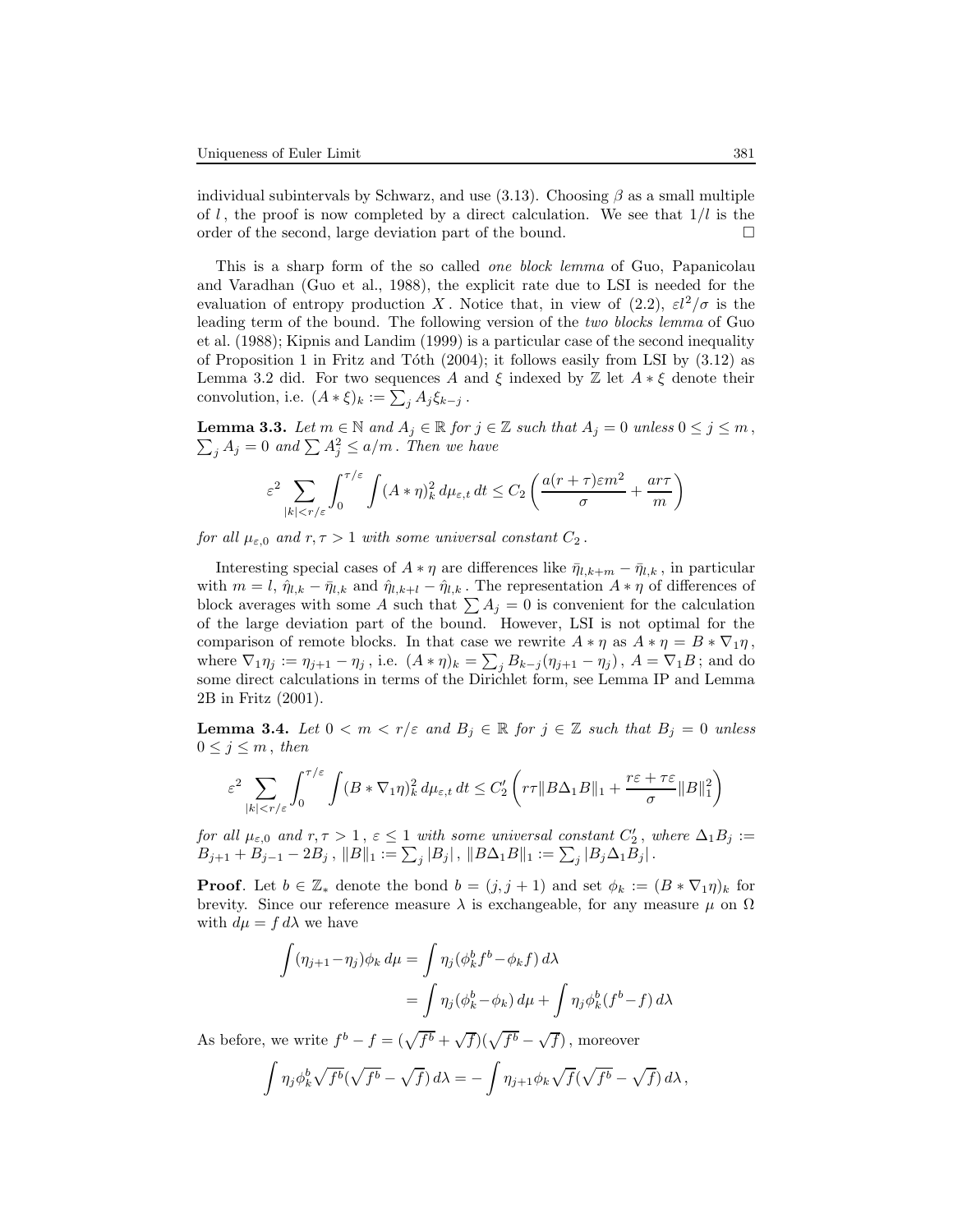individual subintervals by Schwarz, and use (3.13). Choosing  $\beta$  as a small multiple of l, the proof is now completed by a direct calculation. We see that  $1/l$  is the order of the second, large deviation part of the bound.

This is a sharp form of the so called one block lemma of Guo, Papanicolau and Varadhan (Guo et al., 1988), the explicit rate due to LSI is needed for the evaluation of entropy production X. Notice that, in view of  $(2.2)$ ,  $\varepsilon l^2/\sigma$  is the leading term of the bound. The following version of the two blocks lemma of Guo et al. (1988); Kipnis and Landim (1999) is a particular case of the second inequality of Proposition 1 in Fritz and Tóth  $(2004)$ ; it follows easily from LSI by  $(3.12)$  as Lemma 3.2 did. For two sequences A and  $\xi$  indexed by  $\mathbb Z$  let  $A * \xi$  denote their convolution, i.e.  $(A * \xi)_k := \sum_j A_j \xi_{k-j}$ .

 $\sum_j A_j = 0$  and  $\sum_j A_j^2 \leq a/m$ . Then we have **Lemma 3.3.** Let  $m \in \mathbb{N}$  and  $A_j \in \mathbb{R}$  for  $j \in \mathbb{Z}$  such that  $A_j = 0$  unless  $0 \le j \le m$ ,

$$
\varepsilon^2 \sum_{|k| < r/\varepsilon} \int_0^{\tau/\varepsilon} \int (A*\eta)_k^2 \, d\mu_{\varepsilon,t} \, dt \le C_2 \left( \frac{a(r+\tau)\varepsilon m^2}{\sigma} + \frac{ar\tau}{m} \right)
$$

for all  $\mu_{\varepsilon,0}$  and  $r, \tau > 1$  with some universal constant  $C_2$ .

Interesting special cases of  $A * \eta$  are differences like  $\bar{\eta}_{l,k+m} - \bar{\eta}_{l,k}$ , in particular with  $m = l$ ,  $\hat{\eta}_{l,k} - \bar{\eta}_{l,k}$  and  $\hat{\eta}_{l,k+l} - \hat{\eta}_{l,k}$ . The representation  $A * \eta$  of differences of block averages with some A such that  $\sum A_j = 0$  is convenient for the calculation of the large deviation part of the bound. However, LSI is not optimal for the comparison of remote blocks. In that case we rewrite  $A * \eta$  as  $A * \eta = B * \nabla_1 \eta$ , where  $\nabla_1 \eta_j := \eta_{j+1} - \eta_j$ , i.e.  $(A * \eta)_k = \sum_j B_{k-j} (\eta_{j+1} - \eta_j)$ ,  $A = \nabla_1 B$ ; and do some direct calculations in terms of the Dirichlet form, see Lemma IP and Lemma 2B in Fritz (2001).

**Lemma 3.4.** Let  $0 < m < r/\varepsilon$  and  $B_j \in \mathbb{R}$  for  $j \in \mathbb{Z}$  such that  $B_j = 0$  unless  $0 \leq j \leq m$ , then

$$
\varepsilon^2 \sum_{|k| < r/\varepsilon} \int_0^{\tau/\varepsilon} \int (B * \nabla_1 \eta)_k^2 \, d\mu_{\varepsilon, t} \, dt \le C_2' \left( r\tau \|B\Delta_1 B\|_1 + \frac{r\varepsilon + \tau\varepsilon}{\sigma} \|B\|_1^2 \right)
$$

for all  $\mu_{\varepsilon,0}$  and  $r, \tau > 1$ ,  $\varepsilon \leq 1$  with some universal constant  $C'_2$ , where  $\Delta_1 B_j :=$  $B_{j+1} + B_{j-1} - 2B_j$ ,  $||B||_1 := \sum_j |B_j|$ ,  $||B\Delta_1B||_1 := \sum_j |B_j\Delta_1B_j|$ .

**Proof.** Let  $b \in \mathbb{Z}_{*}$  denote the bond  $b = (j, j + 1)$  and set  $\phi_k := (B * \nabla_1 \eta)_k$  for brevity. Since our reference measure  $\lambda$  is exchangeable, for any measure  $\mu$  on  $\Omega$ with  $d\mu = f d\lambda$  we have

$$
\int (\eta_{j+1} - \eta_j) \phi_k d\mu = \int \eta_j (\phi_k^b f^b - \phi_k f) d\lambda
$$

$$
= \int \eta_j (\phi_k^b - \phi_k) d\mu + \int \eta_j \phi_k^b (f^b - f) d\lambda
$$

As before, we write  $f^b - f = (\sqrt{f^b} + \sqrt{f})(\sqrt{f^b} - \sqrt{f})$ , moreover

$$
\int \eta_j \phi_k^b \sqrt{f^b} (\sqrt{f^b} - \sqrt{f}) d\lambda = - \int \eta_{j+1} \phi_k \sqrt{f} (\sqrt{f^b} - \sqrt{f}) d\lambda,
$$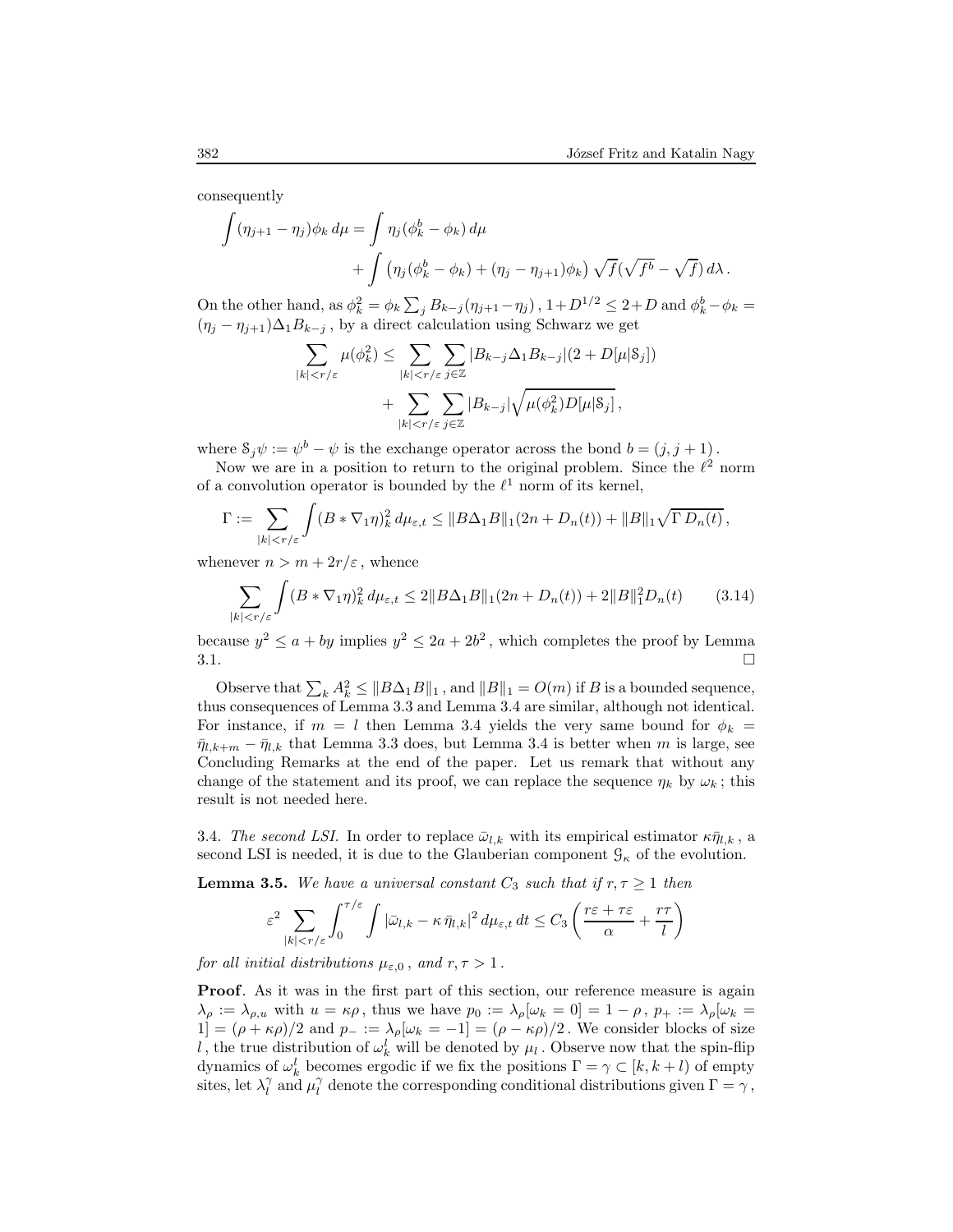consequently

$$
\int (\eta_{j+1} - \eta_j) \phi_k d\mu = \int \eta_j (\phi_k^b - \phi_k) d\mu
$$
  
+ 
$$
\int (\eta_j (\phi_k^b - \phi_k) + (\eta_j - \eta_{j+1}) \phi_k) \sqrt{f} (\sqrt{f^b} - \sqrt{f}) d\lambda.
$$

On the other hand, as  $\phi_k^2 = \phi_k \sum_j B_{k-j} (\eta_{j+1} - \eta_j)$ ,  $1 + D^{1/2} \le 2 + D$  and  $\phi_k^b - \phi_k =$  $(\eta_j - \eta_{j+1})\Delta_1 B_{k-j}$ , by a direct calculation using Schwarz we get

$$
\sum_{|k| < r/\varepsilon} \mu(\phi_k^2) \le \sum_{|k| < r/\varepsilon} \sum_{j \in \mathbb{Z}} |B_{k-j} \Delta_1 B_{k-j}|(2+D[\mu|\mathbf{\mathbf{S}}_j]) + \sum_{|k| < r/\varepsilon} \sum_{j \in \mathbb{Z}} |B_{k-j}| \sqrt{\mu(\phi_k^2) D[\mu|\mathbf{\mathbf{S}}_j]},
$$

where  $S_j \psi := \psi^b - \psi$  is the exchange operator across the bond  $b = (j, j + 1)$ .

Now we are in a position to return to the original problem. Since the  $\ell^2$  norm of a convolution operator is bounded by the  $\ell^1$  norm of its kernel,

$$
\Gamma := \sum_{|k| < r/\varepsilon} \int (B * \nabla_1 \eta)_k^2 \, d\mu_{\varepsilon, t} \leq \|B\Delta_1 B\|_1 (2n + D_n(t)) + \|B\|_1 \sqrt{\Gamma D_n(t)},
$$

whenever  $n > m + 2r/\varepsilon$ , whence

$$
\sum_{|k|< r/\varepsilon} \int (B * \nabla_1 \eta)_k^2 d\mu_{\varepsilon,t} \le 2 \|B\Delta_1 B\|_1 (2n + D_n(t)) + 2 \|B\|_1^2 D_n(t) \tag{3.14}
$$

because  $y^2 \le a + by$  implies  $y^2 \le 2a + 2b^2$ , which completes the proof by Lemma  $3.1.$ 

Observe that  $\sum_k A_k^2 \leq ||B\Delta_1B||_1$ , and  $||B||_1 = O(m)$  if B is a bounded sequence, thus consequences of Lemma 3.3 and Lemma 3.4 are similar, although not identical. For instance, if  $m = l$  then Lemma 3.4 yields the very same bound for  $\phi_k =$  $\bar{\eta}_{l,k+m} - \bar{\eta}_{l,k}$  that Lemma 3.3 does, but Lemma 3.4 is better when m is large, see Concluding Remarks at the end of the paper. Let us remark that without any change of the statement and its proof, we can replace the sequence  $\eta_k$  by  $\omega_k$ ; this result is not needed here.

3.4. The second LSI. In order to replace  $\bar{\omega}_{l,k}$  with its empirical estimator  $\kappa \bar{\eta}_{l,k}$ , a second LSI is needed, it is due to the Glauberian component  $\mathcal{G}_{\kappa}$  of the evolution.

**Lemma 3.5.** We have a universal constant  $C_3$  such that if  $r, \tau \geq 1$  then

$$
\varepsilon^2 \sum_{|k| < r/\varepsilon} \int_0^{\tau/\varepsilon} \int |\bar{\omega}_{l,k} - \kappa \, \bar{\eta}_{l,k}|^2 \, d\mu_{\varepsilon,t} \, dt \le C_3 \left( \frac{r\varepsilon + \tau \varepsilon}{\alpha} + \frac{r\tau}{l} \right)
$$

for all initial distributions  $\mu_{\varepsilon,0}$ , and  $r, \tau > 1$ .

Proof. As it was in the first part of this section, our reference measure is again  $\lambda_{\rho} := \lambda_{\rho,u}$  with  $u = \kappa \rho$ , thus we have  $p_0 := \lambda_{\rho}[\omega_k = 0] = 1 - \rho$ ,  $p_+ := \lambda_{\rho}[\omega_k = 0]$ 1] =  $(\rho + \kappa \rho)/2$  and  $p_- := \lambda_\rho[\omega_k = -1] = (\rho - \kappa \rho)/2$ . We consider blocks of size l, the true distribution of  $\omega_k^l$  will be denoted by  $\mu_l$ . Observe now that the spin-flip dynamics of  $\omega_k^l$  becomes ergodic if we fix the positions  $\Gamma = \gamma \subset [k, k+l)$  of empty sites, let  $\lambda_l^{\gamma}$  and  $\mu_l^{\gamma}$  denote the corresponding conditional distributions given  $\Gamma = \gamma$ ,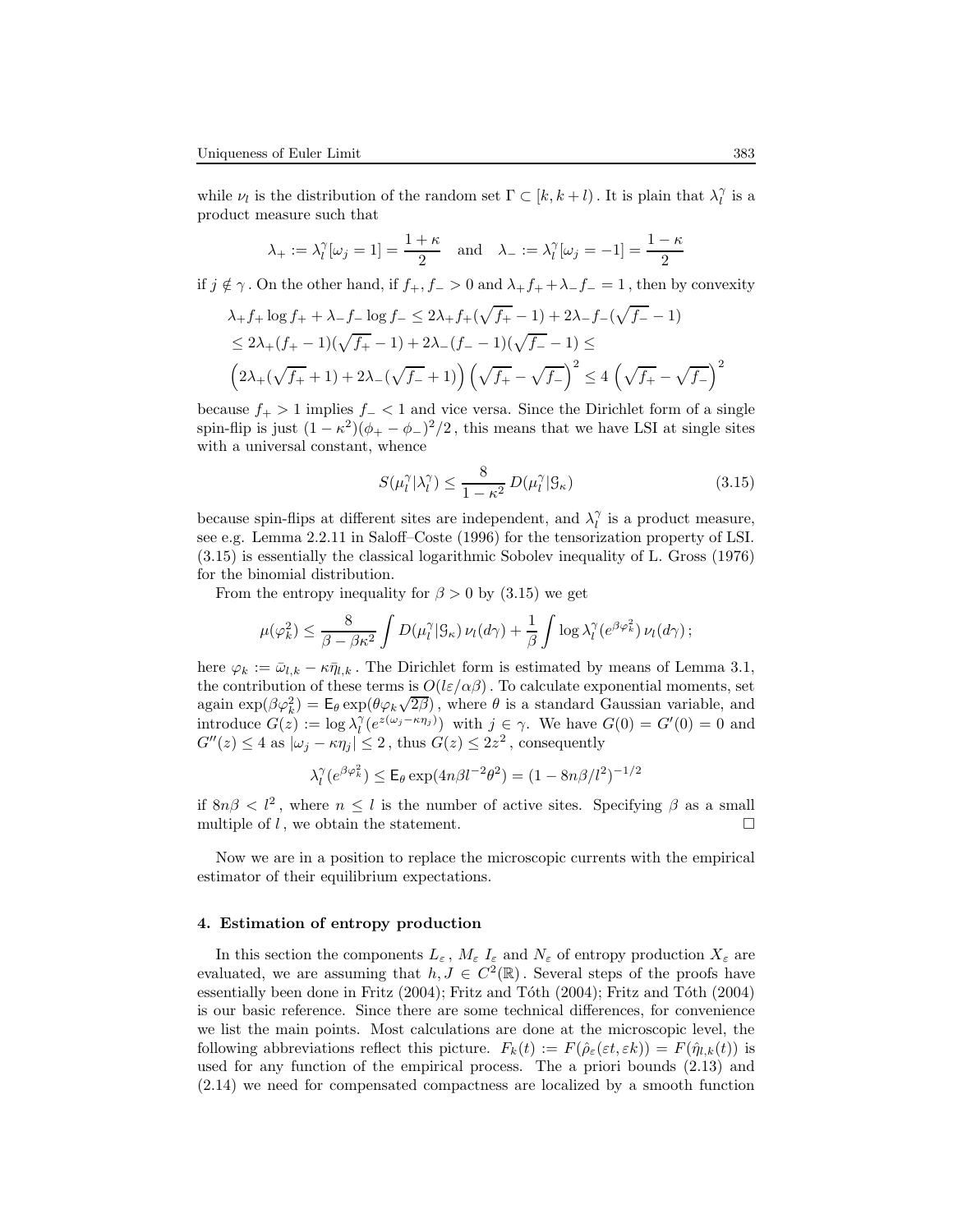while  $\nu_l$  is the distribution of the random set  $\Gamma \subset [k, k+l)$ . It is plain that  $\lambda_l^{\gamma}$  is a product measure such that

$$
\lambda_+ := \lambda_l^{\gamma}[\omega_j = 1] = \frac{1+\kappa}{2}
$$
 and  $\lambda_- := \lambda_l^{\gamma}[\omega_j = -1] = \frac{1-\kappa}{2}$ 

if  $j \notin \gamma$ . On the other hand, if  $f_+, f_- > 0$  and  $\lambda_+ f_+ + \lambda_- f_- = 1$ , then by convexity

$$
\lambda_{+} f_{+} \log f_{+} + \lambda_{-} f_{-} \log f_{-} \leq 2\lambda_{+} f_{+}(\sqrt{f_{+}} - 1) + 2\lambda_{-} f_{-}(\sqrt{f_{-}} - 1)
$$
  

$$
\leq 2\lambda_{+} (f_{+} - 1)(\sqrt{f_{+}} - 1) + 2\lambda_{-} (f_{-} - 1)(\sqrt{f_{-}} - 1) \leq
$$
  

$$
\left(2\lambda_{+}(\sqrt{f_{+}} + 1) + 2\lambda_{-}(\sqrt{f_{-}} + 1)\right) \left(\sqrt{f_{+}} - \sqrt{f_{-}}\right)^{2} \leq 4\left(\sqrt{f_{+}} - \sqrt{f_{-}}\right)^{2}
$$

because  $f_{+} > 1$  implies  $f_{-} < 1$  and vice versa. Since the Dirichlet form of a single spin-flip is just  $(1 - \kappa^2)(\phi_+ - \phi_-)^2/2$ , this means that we have LSI at single sites with a universal constant, whence

$$
S(\mu_l^{\gamma}|\lambda_l^{\gamma}) \le \frac{8}{1 - \kappa^2} D(\mu_l^{\gamma}|\mathcal{G}_{\kappa})
$$
\n(3.15)

because spin-flips at different sites are independent, and  $\lambda_l^{\gamma}$  is a product measure, see e.g. Lemma 2.2.11 in Saloff–Coste (1996) for the tensorization property of LSI. (3.15) is essentially the classical logarithmic Sobolev inequality of L. Gross (1976) for the binomial distribution.

From the entropy inequality for  $\beta > 0$  by (3.15) we get

$$
\mu(\varphi_k^2) \leq \frac{8}{\beta - \beta \kappa^2} \int D(\mu_l^{\gamma} | \mathcal{G}_{\kappa}) \nu_l(d\gamma) + \frac{1}{\beta} \int \log \lambda_l^{\gamma} (e^{\beta \varphi_k^2}) \nu_l(d\gamma);
$$

here  $\varphi_k := \bar{\omega}_{l,k} - \kappa \bar{\eta}_{l,k}$ . The Dirichlet form is estimated by means of Lemma 3.1, the contribution of these terms is  $O(l\varepsilon/\alpha\beta)$ . To calculate exponential moments, set again  $\exp(\beta \varphi_k^2) = \mathsf{E}_{\theta} \exp(\theta \varphi_k \sqrt{2\beta})$ , where  $\theta$  is a standard Gaussian variable, and introduce  $G(z) := \log \lambda_l^{\gamma} (e^{z(\omega_j - \kappa \eta_j)})$  with  $j \in \gamma$ . We have  $G(0) = G'(0) = 0$  and  $G''(z) \leq 4$  as  $|\omega_j - \kappa \eta_j| \leq 2$ , thus  $G(z) \leq 2z^2$ , consequently

$$
\lambda_l^{\gamma}(e^{\beta \varphi_k^2}) \le \mathsf{E}_{\theta} \exp(4n\beta l^{-2}\theta^2) = (1 - 8n\beta/l^2)^{-1/2}
$$

if  $8n\beta < l^2$ , where  $n \leq l$  is the number of active sites. Specifying  $\beta$  as a small multiple of  $l$ , we obtain the statement.

Now we are in a position to replace the microscopic currents with the empirical estimator of their equilibrium expectations.

### 4. Estimation of entropy production

In this section the components  $L_{\varepsilon}$ ,  $M_{\varepsilon}$   $I_{\varepsilon}$  and  $N_{\varepsilon}$  of entropy production  $X_{\varepsilon}$  are evaluated, we are assuming that  $h, J \in C^2(\mathbb{R})$ . Several steps of the proofs have essentially been done in Fritz (2004); Fritz and Tóth (2004); Fritz and Tóth (2004) is our basic reference. Since there are some technical differences, for convenience we list the main points. Most calculations are done at the microscopic level, the following abbreviations reflect this picture.  $F_k(t) := F(\hat{\rho}_{\varepsilon}(\varepsilon t, \varepsilon k)) = F(\hat{\eta}_{l,k}(t))$  is used for any function of the empirical process. The a priori bounds (2.13) and (2.14) we need for compensated compactness are localized by a smooth function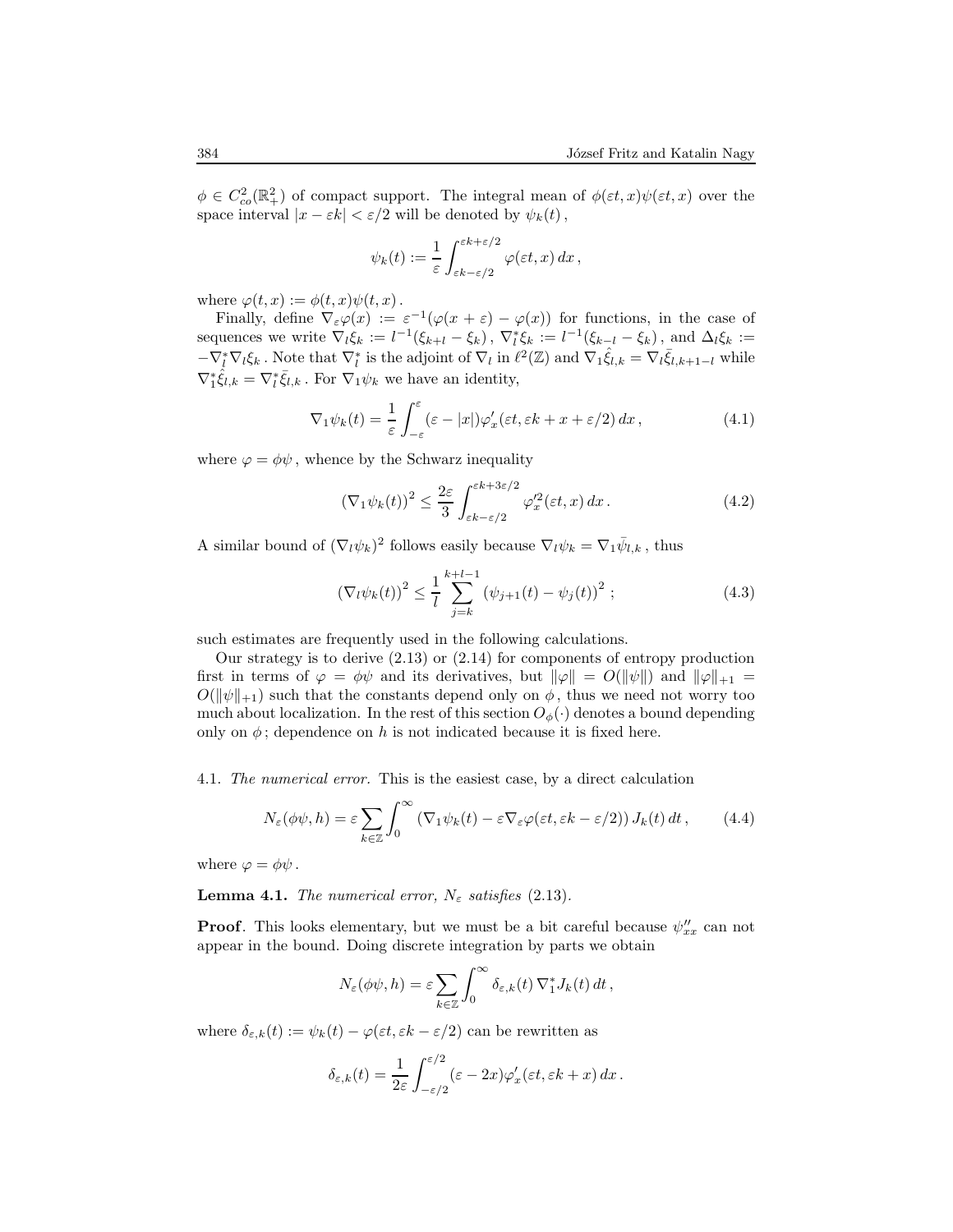$\phi \in C^2_{co}(\mathbb{R}^2_+)$  of compact support. The integral mean of  $\phi(\varepsilon t,x)\psi(\varepsilon t,x)$  over the space interval  $|x - \varepsilon k| < \varepsilon/2$  will be denoted by  $\psi_k(t)$ ,

$$
\psi_k(t) := \frac{1}{\varepsilon} \int_{\varepsilon k - \varepsilon/2}^{\varepsilon k + \varepsilon/2} \varphi(\varepsilon t, x) \, dx \,,
$$

where  $\varphi(t, x) := \phi(t, x)\psi(t, x)$ .

Finally, define  $\nabla_{\varepsilon} \varphi(x) := \varepsilon^{-1}(\varphi(x+\varepsilon) - \varphi(x))$  for functions, in the case of sequences we write  $\nabla_l \xi_k := l^{-1}(\xi_{k+l} - \xi_k)$ ,  $\nabla_l^* \xi_k := l^{-1}(\xi_{k-l} - \xi_k)$ , and  $\Delta_l \xi_k :=$  $-\nabla_{\ell}^{*}\nabla_{\ell}\xi_{k}$ . Note that  $\nabla_{\ell}^{*}$  is the adjoint of  $\nabla_{\ell}$  in  $\ell^{2}(\mathbb{Z})$  and  $\nabla_{1}\hat{\xi}_{l,k} = \nabla_{\ell}\bar{\xi}_{l,k+1-l}$  while  $\nabla_1^* \hat{\xi}_{l,k} = \nabla_l^* \bar{\xi}_{l,k}$ . For  $\nabla_1 \psi_k$  we have an identity,

$$
\nabla_1 \psi_k(t) = \frac{1}{\varepsilon} \int_{-\varepsilon}^{\varepsilon} (\varepsilon - |x|) \varphi_x'(\varepsilon t, \varepsilon k + x + \varepsilon/2) dx, \tag{4.1}
$$

where  $\varphi = \phi \psi$ , whence by the Schwarz inequality

$$
\left(\nabla_1\psi_k(t)\right)^2 \le \frac{2\varepsilon}{3} \int_{\varepsilon k - \varepsilon/2}^{\varepsilon k + 3\varepsilon/2} \varphi_x'^2(\varepsilon t, x) \, dx \,. \tag{4.2}
$$

A similar bound of  $(\nabla_l \psi_k)^2$  follows easily because  $\nabla_l \psi_k = \nabla_1 \bar{\psi}_{l,k}$ , thus

$$
\left(\nabla_l \psi_k(t)\right)^2 \le \frac{1}{l} \sum_{j=k}^{k+l-1} \left(\psi_{j+1}(t) - \psi_j(t)\right)^2 ;\tag{4.3}
$$

such estimates are frequently used in the following calculations.

Our strategy is to derive (2.13) or (2.14) for components of entropy production first in terms of  $\varphi = \phi \psi$  and its derivatives, but  $\|\varphi\| = O(\|\psi\|)$  and  $\|\varphi\|_{+1} =$  $O(\|\psi\|_{+1})$  such that the constants depend only on  $\phi$ , thus we need not worry too much about localization. In the rest of this section  $O_{\phi}(\cdot)$  denotes a bound depending only on  $\phi$ ; dependence on h is not indicated because it is fixed here.

4.1. The numerical error. This is the easiest case, by a direct calculation

$$
N_{\varepsilon}(\phi\psi, h) = \varepsilon \sum_{k \in \mathbb{Z}} \int_0^{\infty} \left( \nabla_1 \psi_k(t) - \varepsilon \nabla_{\varepsilon} \varphi(\varepsilon t, \varepsilon k - \varepsilon/2) \right) J_k(t) dt, \qquad (4.4)
$$

where  $\varphi = \phi \psi$ .

**Lemma 4.1.** The numerical error,  $N_{\varepsilon}$  satisfies (2.13).

**Proof.** This looks elementary, but we must be a bit careful because  $\psi''_{xx}$  can not appear in the bound. Doing discrete integration by parts we obtain

$$
N_{\varepsilon}(\phi\psi,h)=\varepsilon\sum_{k\in\mathbb{Z}}\int_0^\infty\delta_{\varepsilon,k}(t)\,\nabla_1^*J_k(t)\,dt\,,
$$

where  $\delta_{\varepsilon,k}(t) := \psi_k(t) - \varphi(\varepsilon t, \varepsilon k - \varepsilon/2)$  can be rewritten as

$$
\delta_{\varepsilon,k}(t) = \frac{1}{2\varepsilon} \int_{-\varepsilon/2}^{\varepsilon/2} (\varepsilon - 2x) \varphi_x'(\varepsilon t, \varepsilon k + x) \, dx \, .
$$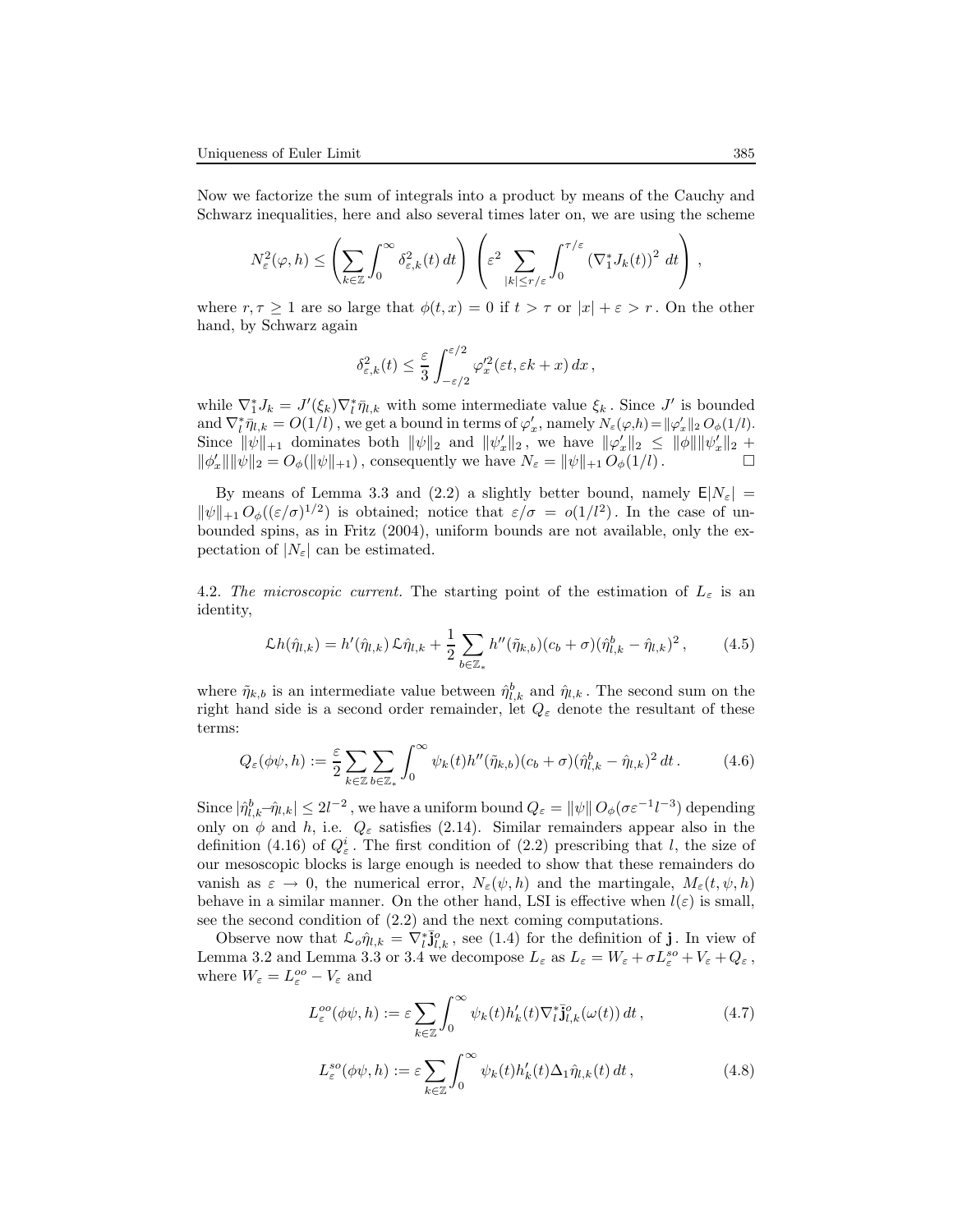Now we factorize the sum of integrals into a product by means of the Cauchy and Schwarz inequalities, here and also several times later on, we are using the scheme

$$
N_{\varepsilon}^{2}(\varphi,h) \leq \left(\sum_{k\in\mathbb{Z}}\int_{0}^{\infty}\delta_{\varepsilon,k}^{2}(t)\,dt\right)\left(\varepsilon^{2}\sum_{|k|\leq r/\varepsilon}\int_{0}^{\tau/\varepsilon}\left(\nabla_{1}^{*}J_{k}(t)\right)^{2}\,dt\right)\,,
$$

where  $r, \tau \geq 1$  are so large that  $\phi(t, x) = 0$  if  $t > \tau$  or  $|x| + \varepsilon > r$ . On the other hand, by Schwarz again

$$
\delta_{\varepsilon,k}^2(t) \leq \frac{\varepsilon}{3} \int_{-\varepsilon/2}^{\varepsilon/2} \varphi_x'^2(\varepsilon t, \varepsilon k + x) \, dx \,,
$$

while  $\nabla_1^* J_k = J'(\xi_k) \nabla_l^* \bar{\eta}_{l,k}$  with some intermediate value  $\xi_k$ . Since  $J'$  is bounded and  $\nabla_l^* \bar{\eta}_{l,k} = O(1/l)$ , we get a bound in terms of  $\varphi_x'$ , namely  $N_{\varepsilon}(\varphi, h) = ||\varphi_x'||_2 O_{\phi}(1/l)$ . Since  $\|\psi\|_{+1}$  dominates both  $\|\psi\|_{2}$  and  $\|\psi'_x\|_{2}$ , we have  $\|\varphi'_x\|_{2} \le \|\phi\| \|\psi'_x\|_{2}$  +  $\|\phi'_x\|\|\psi\|_2 = O_\phi(\|\psi\|_{+1}),$  consequently we have  $N_\varepsilon = \|\psi\|_{+1} O_\phi(1/l).$ 

By means of Lemma 3.3 and (2.2) a slightly better bound, namely  $E|N_{\varepsilon}| =$  $\|\psi\|_{+1} O_{\phi}((\varepsilon/\sigma)^{1/2})$  is obtained; notice that  $\varepsilon/\sigma = o(1/l^2)$ . In the case of unbounded spins, as in Fritz (2004), uniform bounds are not available, only the expectation of  $|N_{\varepsilon}|$  can be estimated.

4.2. The microscopic current. The starting point of the estimation of  $L_{\varepsilon}$  is an identity,

$$
\mathcal{L}h(\hat{\eta}_{l,k}) = h'(\hat{\eta}_{l,k}) \mathcal{L}\hat{\eta}_{l,k} + \frac{1}{2} \sum_{b \in \mathbb{Z}_*} h''(\tilde{\eta}_{k,b}) (c_b + \sigma) (\hat{\eta}_{l,k}^b - \hat{\eta}_{l,k})^2, \qquad (4.5)
$$

where  $\tilde{\eta}_{k,b}$  is an intermediate value between  $\hat{\eta}_{l,k}^b$  and  $\hat{\eta}_{l,k}$ . The second sum on the right hand side is a second order remainder, let  $Q_{\varepsilon}$  denote the resultant of these terms:

$$
Q_{\varepsilon}(\phi\psi,h) := \frac{\varepsilon}{2} \sum_{k \in \mathbb{Z}} \sum_{b \in \mathbb{Z}_*} \int_0^\infty \psi_k(t) h''(\tilde{\eta}_{k,b})(c_b + \sigma)(\hat{\eta}_{l,k}^b - \hat{\eta}_{l,k})^2 dt.
$$
 (4.6)

Since  $|\hat{\eta}_{l,k}^b - \hat{\eta}_{l,k}| \leq 2l^{-2}$ , we have a uniform bound  $Q_\varepsilon = ||\psi|| O_\phi(\sigma \varepsilon^{-1} l^{-3})$  depending only on  $\phi$  and h, i.e.  $Q_{\varepsilon}$  satisfies (2.14). Similar remainders appear also in the definition (4.16) of  $Q_{\varepsilon}^{i}$ . The first condition of (2.2) prescribing that l, the size of our mesoscopic blocks is large enough is needed to show that these remainders do vanish as  $\varepsilon \to 0$ , the numerical error,  $N_{\varepsilon}(\psi, h)$  and the martingale,  $M_{\varepsilon}(t, \psi, h)$ behave in a similar manner. On the other hand, LSI is effective when  $l(\varepsilon)$  is small, see the second condition of (2.2) and the next coming computations.

Observe now that  $\mathcal{L}_{o} \hat{\eta}_{l,k} = \nabla_l^* \mathbf{J}_{l,k}^o$ , see (1.4) for the definition of **j**. In view of Lemma 3.2 and Lemma 3.3 or 3.4 we decompose  $L_{\varepsilon}$  as  $L_{\varepsilon} = W_{\varepsilon} + \sigma L_{\varepsilon}^{so} + V_{\varepsilon} + Q_{\varepsilon}$ , where  $W_{\varepsilon} = L_{\varepsilon}^{oo} - V_{\varepsilon}$  and

$$
L_{\varepsilon}^{oo}(\phi\psi, h) := \varepsilon \sum_{k \in \mathbb{Z}} \int_{0}^{\infty} \psi_{k}(t) h'_{k}(t) \nabla_{l}^{*} \bar{\mathbf{j}}_{l,k}^{o}(\omega(t)) dt , \qquad (4.7)
$$

$$
L_{\varepsilon}^{so}(\phi\psi,h) := \varepsilon \sum_{k\in\mathbb{Z}} \int_0^\infty \psi_k(t) h'_k(t) \Delta_1 \hat{\eta}_{l,k}(t) dt , \qquad (4.8)
$$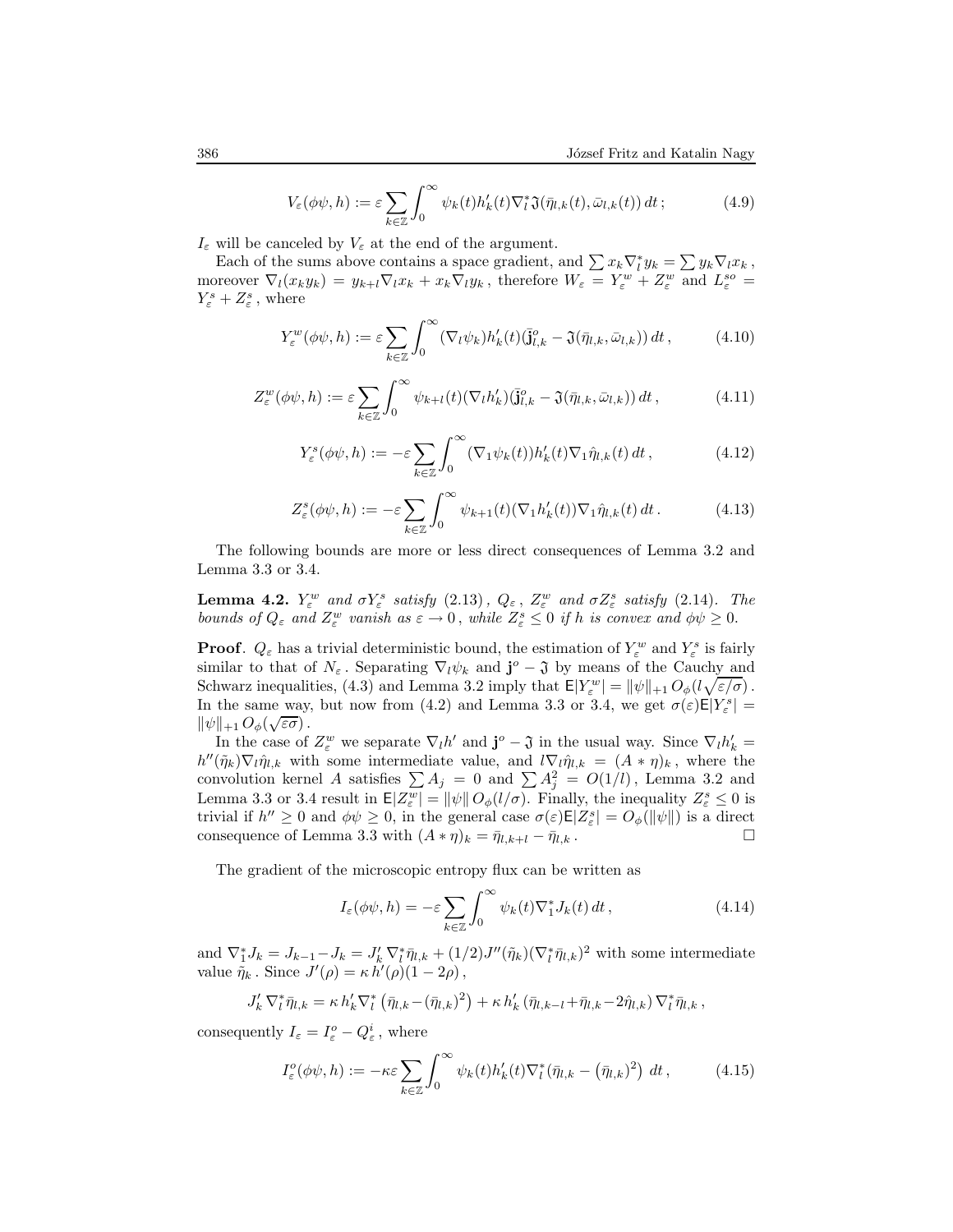$$
V_{\varepsilon}(\phi\psi, h) := \varepsilon \sum_{k \in \mathbb{Z}} \int_0^{\infty} \psi_k(t) h'_k(t) \nabla_l^* \mathfrak{J}(\bar{\eta}_{l,k}(t), \bar{\omega}_{l,k}(t)) dt ; \qquad (4.9)
$$

 $I_{\varepsilon}$  will be canceled by  $V_{\varepsilon}$  at the end of the argument.

Each of the sums above contains a space gradient, and  $\sum x_k \nabla_l^* y_k = \sum y_k \nabla_l x_k$ , moreover  $\nabla_l(x_k y_k) = y_{k+l} \nabla_l x_k + x_k \nabla_l y_k$ , therefore  $W_\varepsilon = Y_\varepsilon^w + Z_\varepsilon^w$  and  $L_\varepsilon^{so} =$  $Y^s_{\varepsilon}+Z^s_{\varepsilon}$  , where

$$
Y_{\varepsilon}^{w}(\phi\psi,h) := \varepsilon \sum_{k \in \mathbb{Z}} \int_{0}^{\infty} (\nabla_{l}\psi_{k}) h'_{k}(t) (\overline{\mathbf{j}}_{l,k}^{o} - \mathfrak{J}(\overline{\eta}_{l,k}, \overline{\omega}_{l,k})) dt, \qquad (4.10)
$$

$$
Z_{\varepsilon}^{w}(\phi\psi,h) := \varepsilon \sum_{k \in \mathbb{Z}} \int_{0}^{\infty} \psi_{k+l}(t) (\nabla_{l} h'_{k}) (\bar{\mathbf{j}}_{l,k}^{o} - \mathfrak{J}(\bar{\eta}_{l,k}, \bar{\omega}_{l,k})) dt , \qquad (4.11)
$$

$$
Y_{\varepsilon}^{s}(\phi\psi,h) := -\varepsilon \sum_{k\in\mathbb{Z}} \int_{0}^{\infty} (\nabla_{1}\psi_{k}(t))h'_{k}(t)\nabla_{1}\hat{\eta}_{l,k}(t) dt , \qquad (4.12)
$$

$$
Z_{\varepsilon}^{s}(\phi\psi,h) := -\varepsilon \sum_{k\in\mathbb{Z}} \int_{0}^{\infty} \psi_{k+1}(t) (\nabla_{1}h'_{k}(t)) \nabla_{1}\hat{\eta}_{l,k}(t) dt.
$$
 (4.13)

The following bounds are more or less direct consequences of Lemma 3.2 and Lemma 3.3 or 3.4.

**Lemma 4.2.**  $Y_{\varepsilon}^{w}$  and  $\sigma Y_{\varepsilon}^{s}$  satisfy  $(2.13)$ ,  $Q_{\varepsilon}$ ,  $Z_{\varepsilon}^{w}$  and  $\sigma Z_{\varepsilon}^{s}$  satisfy  $(2.14)$ . The bounds of  $Q_{\varepsilon}$  and  $Z_{\varepsilon}^{w}$  vanish as  $\varepsilon \to 0$ , while  $Z_{\varepsilon}^{s} \leq 0$  if h is convex and  $\phi \psi \geq 0$ .

**Proof.**  $Q_{\varepsilon}$  has a trivial deterministic bound, the estimation of  $Y_{\varepsilon}^w$  and  $Y_{\varepsilon}^s$  is fairly similar to that of  $N_{\varepsilon}$ . Separating  $\nabla_l \psi_k$  and  $\mathbf{j}^o - \mathfrak{J}$  by means of the Cauchy and Schwarz inequalities, (4.3) and Lemma 3.2 imply that  $E|Y_{\varepsilon}^{w}| = ||\psi||_{+1} O_{\phi}(l\sqrt{\varepsilon/\sigma})$ . In the same way, but now from (4.2) and Lemma 3.3 or 3.4, we get  $\sigma(\varepsilon) \mathsf{E}|Y^s_{\varepsilon}| =$  $\|\psi\|_{+1} O_{\phi}(\sqrt{\varepsilon \sigma})$ .

In the case of  $Z_{\varepsilon}^w$  we separate  $\nabla_l h'$  and  $\mathbf{j}^o - \mathfrak{J}$  in the usual way. Since  $\nabla_l h'_k =$  $h''(\tilde{\eta}_k)\nabla_l \hat{\eta}_{l,k}$  with some intermediate value, and  $l\nabla_l \hat{\eta}_{l,k} = (A * \eta)_k$ , where the convolution kernel A satisfies  $\sum A_j = 0$  and  $\sum A_j^2 = O(1/l)$ , Lemma 3.2 and Lemma 3.3 or 3.4 result in  $\mathsf{E}|Z_{\varepsilon}^{w}| = ||\psi|| O_{\phi}(l/\sigma)$ . Finally, the inequality  $Z_{\varepsilon}^{s} \leq 0$  is trivial if  $h'' \geq 0$  and  $\phi \psi \geq 0$ , in the general case  $\sigma(\varepsilon) \mathsf{E} |Z_{\varepsilon}^s| = O_{\phi}(\|\psi\|)$  is a direct consequence of Lemma 3.3 with  $(A * \eta)_k = \bar{\eta}_{l,k+l} - \bar{\eta}_{l,k}$ .

The gradient of the microscopic entropy flux can be written as

$$
I_{\varepsilon}(\phi\psi, h) = -\varepsilon \sum_{k \in \mathbb{Z}} \int_0^{\infty} \psi_k(t) \nabla_1^* J_k(t) dt , \qquad (4.14)
$$

and  $\nabla_1^* J_k = J_{k-1} - J_k = J'_k \nabla_l^* \bar{\eta}_{l,k} + (1/2) J''(\tilde{\eta}_k) (\nabla_l^* \bar{\eta}_{l,k})^2$  with some intermediate value  $\tilde{\eta}_k$ . Since  $J'(\rho) = \kappa h'(\rho)(1 - 2\rho)$ ,

$$
J'_{k} \nabla_{l}^{*} \bar{\eta}_{l,k} = \kappa h'_{k} \nabla_{l}^{*} (\bar{\eta}_{l,k} - (\bar{\eta}_{l,k})^{2}) + \kappa h'_{k} (\bar{\eta}_{l,k-l} + \bar{\eta}_{l,k} - 2\hat{\eta}_{l,k}) \nabla_{l}^{*} \bar{\eta}_{l,k},
$$

consequently  $I_{\varepsilon} = I_{\varepsilon}^{o} - Q_{\varepsilon}^{i}$ , where

$$
I_{\varepsilon}^{o}(\phi\psi,h) := -\kappa\varepsilon \sum_{k\in\mathbb{Z}} \int_{0}^{\infty} \psi_{k}(t)h_{k}'(t)\nabla_{l}^{*}(\bar{\eta}_{l,k} - (\bar{\eta}_{l,k})^{2}) dt, \qquad (4.15)
$$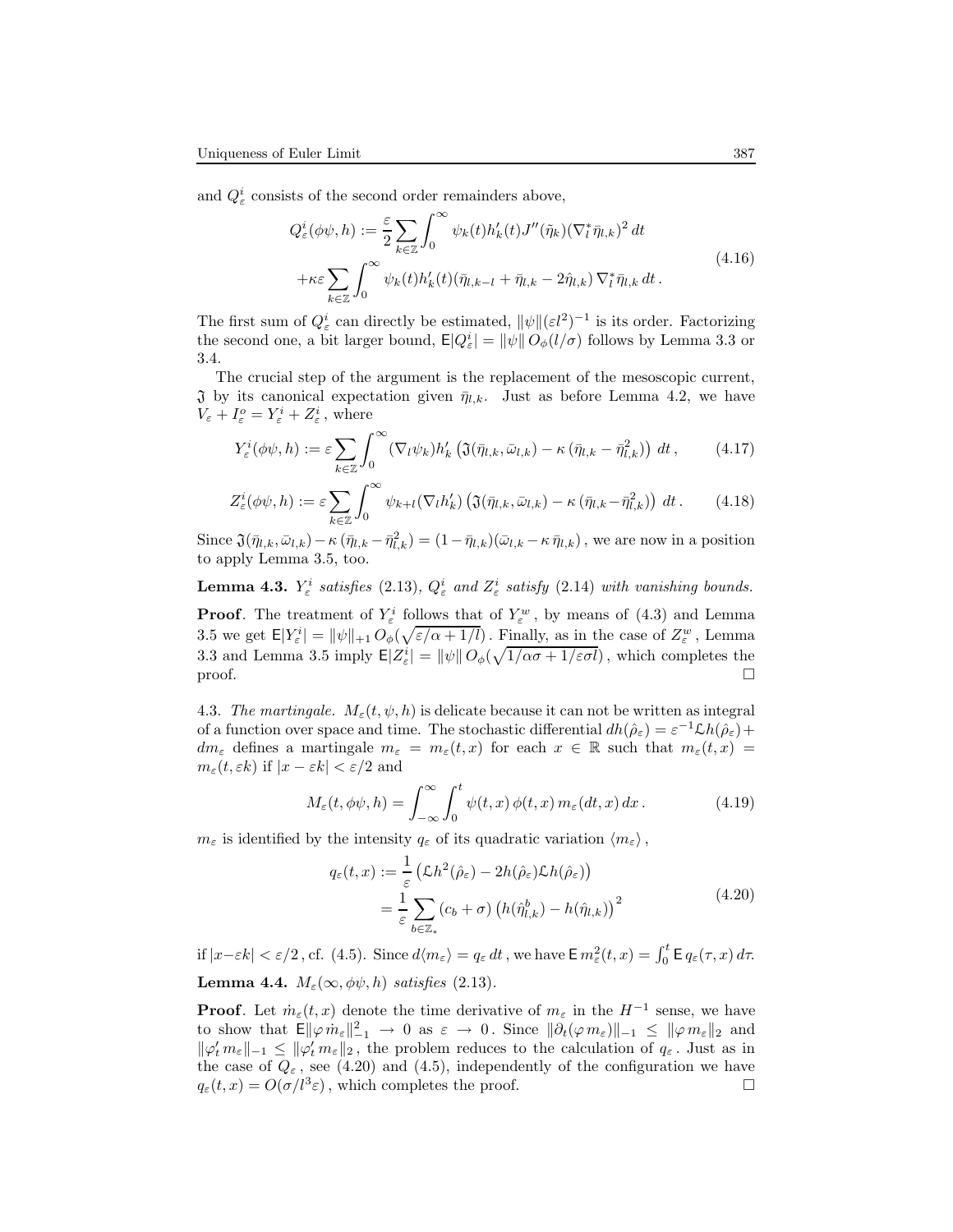and  $Q^i_{\varepsilon}$  consists of the second order remainders above,

$$
Q_{\varepsilon}^{i}(\phi\psi,h) := \frac{\varepsilon}{2} \sum_{k\in\mathbb{Z}} \int_{0}^{\infty} \psi_{k}(t)h'_{k}(t)J''(\tilde{\eta}_{k})(\nabla_{l}^{*}\bar{\eta}_{l,k})^{2} dt
$$
  
 
$$
+\kappa\varepsilon \sum_{k\in\mathbb{Z}} \int_{0}^{\infty} \psi_{k}(t)h'_{k}(t)(\bar{\eta}_{l,k-l} + \bar{\eta}_{l,k} - 2\hat{\eta}_{l,k})\nabla_{l}^{*}\bar{\eta}_{l,k} dt.
$$
 (4.16)

The first sum of  $Q_{\varepsilon}^{i}$  can directly be estimated,  $\|\psi\|(\varepsilon l^{2})^{-1}$  is its order. Factorizing the second one, a bit larger bound,  $\mathsf{E}|Q^i_{\varepsilon}| = ||\psi|| O_{\phi}(l/\sigma)$  follows by Lemma 3.3 or 3.4.

The crucial step of the argument is the replacement of the mesoscopic current,  $\mathfrak J$  by its canonical expectation given  $\bar{\eta}_{l,k}$ . Just as before Lemma 4.2, we have  $V_{\varepsilon} + I_{\varepsilon}^{o} = Y_{\varepsilon}^{i} + Z_{\varepsilon}^{i}$ , where

$$
Y_{\varepsilon}^{i}(\phi\psi,h) := \varepsilon \sum_{k\in\mathbb{Z}} \int_{0}^{\infty} (\nabla_{l}\psi_{k}) h_{k}'\left(\mathfrak{J}(\bar{\eta}_{l,k},\bar{\omega}_{l,k}) - \kappa(\bar{\eta}_{l,k} - \bar{\eta}_{l,k}^{2})\right) dt, \qquad (4.17)
$$

$$
Z_{\varepsilon}^{i}(\phi\psi,h) := \varepsilon \sum_{k\in\mathbb{Z}} \int_{0}^{\infty} \psi_{k+l}(\nabla_{l}h'_{k}) \left(\mathfrak{J}(\bar{\eta}_{l,k},\bar{\omega}_{l,k}) - \kappa(\bar{\eta}_{l,k}-\bar{\eta}_{l,k}^{2})\right) dt.
$$
 (4.18)

Since  $\Im(\bar{\eta}_{l,k}, \bar{\omega}_{l,k}) - \kappa (\bar{\eta}_{l,k} - \bar{\eta}_{l,k}^2) = (1 - \bar{\eta}_{l,k})(\bar{\omega}_{l,k} - \kappa \bar{\eta}_{l,k})$ , we are now in a position to apply Lemma 3.5, too.

**Lemma 4.3.**  $Y_{\varepsilon}^{i}$  satisfies (2.13),  $Q_{\varepsilon}^{i}$  and  $Z_{\varepsilon}^{i}$  satisfy (2.14) with vanishing bounds.

**Proof.** The treatment of  $Y^i_{\varepsilon}$  follows that of  $Y^w_{\varepsilon}$ , by means of (4.3) and Lemma 3.5 we get  $E|Y_{\varepsilon}^i| = ||\psi||_{+1} O_{\phi}(\sqrt{\varepsilon/\alpha + 1/l})$ . Finally, as in the case of  $Z_{\varepsilon}^w$ , Lemma 3.3 and Lemma 3.5 imply  $\mathsf{E}|Z_{\varepsilon}^{i}| = ||\psi|| O_{\phi}(\sqrt{1/\alpha \sigma + 1/\varepsilon \sigma l})$ , which completes the  $\Box$ 

4.3. The martingale.  $M_{\varepsilon}(t, \psi, h)$  is delicate because it can not be written as integral of a function over space and time. The stochastic differential  $dh(\hat{\rho}_{\varepsilon}) = \varepsilon^{-1} \mathcal{L}h(\hat{\rho}_{\varepsilon}) +$  $dm_{\varepsilon}$  defines a martingale  $m_{\varepsilon} = m_{\varepsilon}(t,x)$  for each  $x \in \mathbb{R}$  such that  $m_{\varepsilon}(t,x) =$  $m_{\varepsilon}(t, \varepsilon k)$  if  $|x - \varepsilon k| < \varepsilon/2$  and

$$
M_{\varepsilon}(t,\phi\psi,h) = \int_{-\infty}^{\infty} \int_0^t \psi(t,x)\,\phi(t,x)\,m_{\varepsilon}(dt,x)\,dx\,. \tag{4.19}
$$

 $m_{\varepsilon}$  is identified by the intensity  $q_{\varepsilon}$  of its quadratic variation  $\langle m_{\varepsilon} \rangle$ ,

$$
q_{\varepsilon}(t,x) := \frac{1}{\varepsilon} \left( \mathcal{L}h^{2}(\hat{\rho}_{\varepsilon}) - 2h(\hat{\rho}_{\varepsilon})\mathcal{L}h(\hat{\rho}_{\varepsilon}) \right)
$$
  

$$
= \frac{1}{\varepsilon} \sum_{b \in \mathbb{Z}_{*}} (c_{b} + \sigma) \left( h(\hat{\eta}_{l,k}^{b}) - h(\hat{\eta}_{l,k}) \right)^{2}
$$
(4.20)

if  $|x-\varepsilon k| < \varepsilon/2$ , cf. (4.5). Since  $d\langle m_{\varepsilon} \rangle = q_{\varepsilon} dt$ , we have  $\mathsf{E} m_{\varepsilon}^2(t,x) = \int_0^t \mathsf{E} q_{\varepsilon}(\tau,x) d\tau$ . **Lemma 4.4.**  $M_{\varepsilon}(\infty, \phi\psi, h)$  satisfies (2.13).

**Proof.** Let  $\dot{m}_{\varepsilon}(t, x)$  denote the time derivative of  $m_{\varepsilon}$  in the  $H^{-1}$  sense, we have to show that  $\mathsf{E} \|\varphi \, \dot{m}_{\varepsilon}\|_{-1}^2 \to 0$  as  $\varepsilon \to 0$ . Since  $\|\partial_t(\varphi \, m_{\varepsilon})\|_{-1} \leq \|\varphi \, m_{\varepsilon}\|_2$  and  $\|\varphi'_t m_{\varepsilon}\|_{-1} \leq \|\varphi'_t m_{\varepsilon}\|_2$ , the problem reduces to the calculation of  $q_{\varepsilon}$ . Just as in the case of  $Q_{\varepsilon}$ , see (4.20) and (4.5), independently of the configuration we have  $q_{\varepsilon}(t,x) = O(\sigma/l^3 \varepsilon)$ , which completes the proof.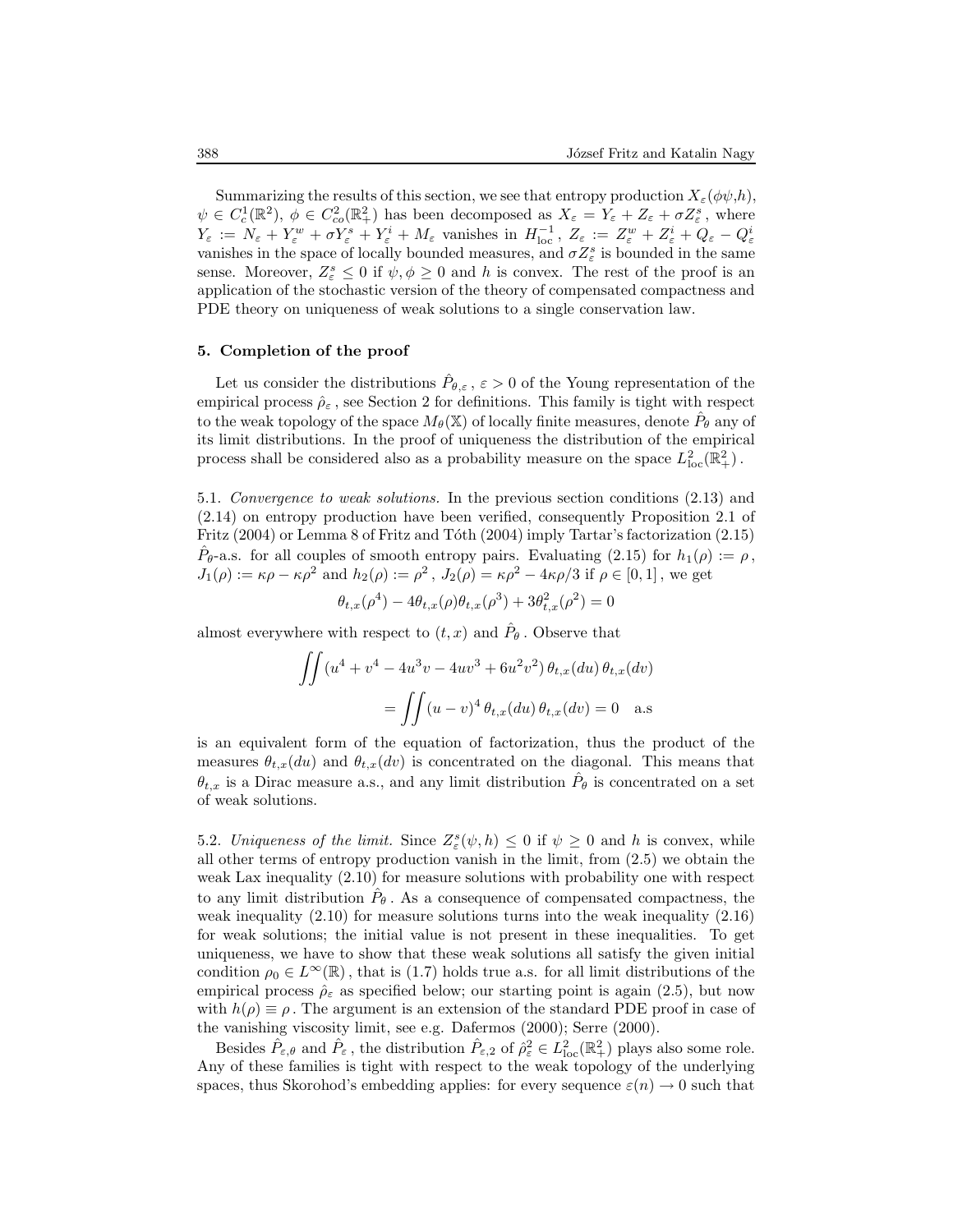Summarizing the results of this section, we see that entropy production  $X_{\varepsilon}(\phi\psi,h)$ ,  $\psi \in C_c^1(\mathbb{R}^2)$ ,  $\phi \in C_{co}^2(\mathbb{R}^2_+)$  has been decomposed as  $X_{\varepsilon} = Y_{\varepsilon} + Z_{\varepsilon} + \sigma Z_{\varepsilon}^s$ , where  $Y_{\varepsilon} := N_{\varepsilon} + Y_{\varepsilon}^{w} + \sigma Y_{\varepsilon}^{s} + Y_{\varepsilon}^{i} + M_{\varepsilon}$  vanishes in  $H_{\text{loc}}^{-1}$ ,  $Z_{\varepsilon} := Z_{\varepsilon}^{w} + Z_{\varepsilon}^{i} + Q_{\varepsilon} - Q_{\varepsilon}^{i}$  vanishes in the space of locally bounded measures, and  $\sigma Z_{\varepsilon}^{s}$  is bounded in sense. Moreover,  $Z_{\varepsilon}^{s} \leq 0$  if  $\psi, \phi \geq 0$  and h is convex. The rest of the proof is an application of the stochastic version of the theory of compensated compactness and PDE theory on uniqueness of weak solutions to a single conservation law.

#### 5. Completion of the proof

Let us consider the distributions  $\hat{P}_{\theta,\varepsilon}$ ,  $\varepsilon > 0$  of the Young representation of the empirical process  $\hat{\rho}_{\varepsilon}$ , see Section 2 for definitions. This family is tight with respect to the weak topology of the space  $M_\theta(\mathbb{X})$  of locally finite measures, denote  $\hat{P}_\theta$  any of its limit distributions. In the proof of uniqueness the distribution of the empirical process shall be considered also as a probability measure on the space  $L^2_{\text{loc}}(\mathbb{R}^2_+)$ .

5.1. Convergence to weak solutions. In the previous section conditions (2.13) and (2.14) on entropy production have been verified, consequently Proposition 2.1 of Fritz  $(2004)$  or Lemma 8 of Fritz and Tôth  $(2004)$  imply Tartar's factorization  $(2.15)$  $\hat{P}_{\theta}$ -a.s. for all couples of smooth entropy pairs. Evaluating (2.15) for  $h_1(\rho) := \rho$ ,  $J_1(\rho) := \kappa \rho - \kappa \rho^2$  and  $h_2(\rho) := \rho^2$ ,  $J_2(\rho) = \kappa \rho^2 - 4\kappa \rho/3$  if  $\rho \in [0, 1]$ , we get

$$
\theta_{t,x}(\rho^4) - 4\theta_{t,x}(\rho)\theta_{t,x}(\rho^3) + 3\theta_{t,x}^2(\rho^2) = 0
$$

almost everywhere with respect to  $(t, x)$  and  $\hat{P}_{\theta}$ . Observe that

$$
\iint (u^4 + v^4 - 4u^3v - 4uv^3 + 6u^2v^2) \theta_{t,x}(du) \theta_{t,x}(dv)
$$

$$
= \iint (u - v)^4 \theta_{t,x}(du) \theta_{t,x}(dv) = 0 \quad \text{a.s}
$$

is an equivalent form of the equation of factorization, thus the product of the measures  $\theta_{t,x}(du)$  and  $\theta_{t,x}(dv)$  is concentrated on the diagonal. This means that  $\theta_{t,x}$  is a Dirac measure a.s., and any limit distribution  $\hat{P}_{\theta}$  is concentrated on a set of weak solutions.

5.2. Uniqueness of the limit. Since  $Z^s_{\varepsilon}(\psi, h) \leq 0$  if  $\psi \geq 0$  and h is convex, while all other terms of entropy production vanish in the limit, from (2.5) we obtain the weak Lax inequality (2.10) for measure solutions with probability one with respect to any limit distribution  $\hat{P}_{\theta}$ . As a consequence of compensated compactness, the weak inequality  $(2.10)$  for measure solutions turns into the weak inequality  $(2.16)$ for weak solutions; the initial value is not present in these inequalities. To get uniqueness, we have to show that these weak solutions all satisfy the given initial condition  $\rho_0 \in L^{\infty}(\mathbb{R})$ , that is (1.7) holds true a.s. for all limit distributions of the empirical process  $\hat{\rho}_{\varepsilon}$  as specified below; our starting point is again (2.5), but now with  $h(\rho) \equiv \rho$ . The argument is an extension of the standard PDE proof in case of the vanishing viscosity limit, see e.g. Dafermos (2000); Serre (2000).

Besides  $\hat{P}_{\varepsilon,\theta}$  and  $\hat{P}_{\varepsilon}$ , the distribution  $\hat{P}_{\varepsilon,2}$  of  $\hat{\rho}_{\varepsilon}^2 \in L^2_{loc}(\mathbb{R}^2_+)$  plays also some role. Any of these families is tight with respect to the weak topology of the underlying spaces, thus Skorohod's embedding applies: for every sequence  $\varepsilon(n) \to 0$  such that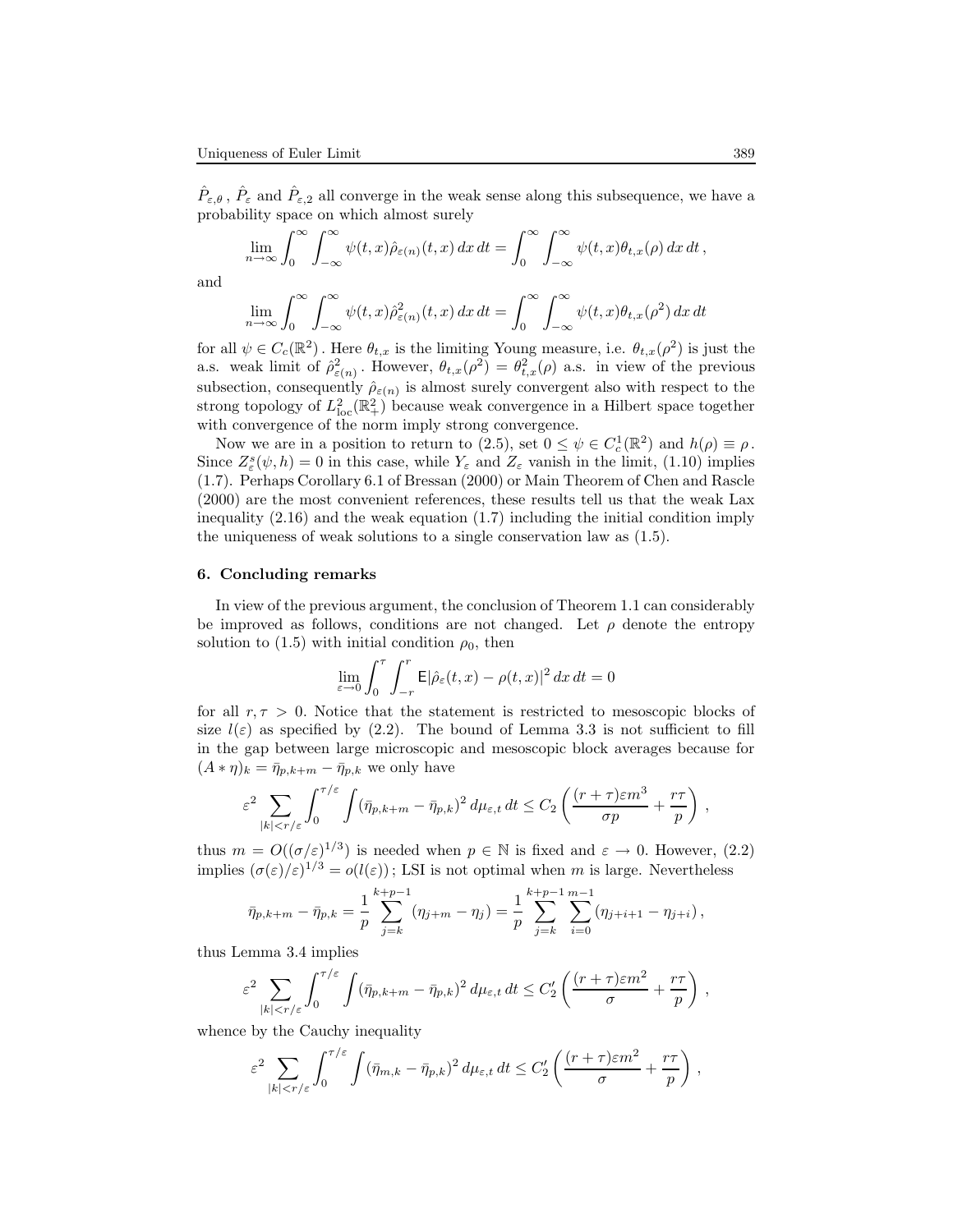$\hat{P}_{\varepsilon,\theta}$ ,  $\hat{P}_{\varepsilon}$  and  $\hat{P}_{\varepsilon,2}$  all converge in the weak sense along this subsequence, we have a probability space on which almost surely

$$
\lim_{n\to\infty}\int_0^\infty\int_{-\infty}^\infty\psi(t,x)\hat{\rho}_{\varepsilon(n)}(t,x)\,dx\,dt=\int_0^\infty\int_{-\infty}^\infty\psi(t,x)\theta_{t,x}(\rho)\,dx\,dt\,,
$$

and

$$
\lim_{n \to \infty} \int_0^{\infty} \int_{-\infty}^{\infty} \psi(t, x) \hat{\rho}_{\varepsilon(n)}^2(t, x) dx dt = \int_0^{\infty} \int_{-\infty}^{\infty} \psi(t, x) \theta_{t, x}(\rho^2) dx dt
$$

for all  $\psi \in C_c(\mathbb{R}^2)$ . Here  $\theta_{t,x}$  is the limiting Young measure, i.e.  $\theta_{t,x}(\rho^2)$  is just the a.s. weak limit of  $\hat{\rho}^2_{\varepsilon(n)}$ . However,  $\theta_{t,x}(\rho^2) = \theta_{t,x}^2(\rho)$  a.s. in view of the previous subsection, consequently  $\hat{\rho}_{\varepsilon(n)}$  is almost surely convergent also with respect to the strong topology of  $L^2_{loc}(\mathbb{R}^2_+)$  because weak convergence in a Hilbert space together with convergence of the norm imply strong convergence.

Now we are in a position to return to (2.5), set  $0 \leq \psi \in C_c^1(\mathbb{R}^2)$  and  $h(\rho) \equiv \rho$ . Since  $Z_{\varepsilon}^{s}(\psi, h) = 0$  in this case, while  $Y_{\varepsilon}$  and  $Z_{\varepsilon}$  vanish in the limit, (1.10) implies (1.7). Perhaps Corollary 6.1 of Bressan (2000) or Main Theorem of Chen and Rascle (2000) are the most convenient references, these results tell us that the weak Lax inequality  $(2.16)$  and the weak equation  $(1.7)$  including the initial condition imply the uniqueness of weak solutions to a single conservation law as (1.5).

## 6. Concluding remarks

In view of the previous argument, the conclusion of Theorem 1.1 can considerably be improved as follows, conditions are not changed. Let  $\rho$  denote the entropy solution to (1.5) with initial condition  $\rho_0$ , then

$$
\lim_{\varepsilon \to 0} \int_0^{\tau} \int_{-r}^r \mathsf{E} |\hat{\rho}_{\varepsilon}(t,x) - \rho(t,x)|^2 \, dx \, dt = 0
$$

for all  $r, \tau > 0$ . Notice that the statement is restricted to mesoscopic blocks of size  $l(\varepsilon)$  as specified by (2.2). The bound of Lemma 3.3 is not sufficient to fill in the gap between large microscopic and mesoscopic block averages because for  $(A * \eta)_k = \bar{\eta}_{p,k+m} - \bar{\eta}_{p,k}$  we only have

$$
\varepsilon^2 \sum_{|k|< r/\varepsilon} \int_0^{\tau/\varepsilon} \int (\bar{\eta}_{p,k+m} - \bar{\eta}_{p,k})^2 \, d\mu_{\varepsilon,t} \, dt \le C_2 \left( \frac{(r+\tau)\varepsilon m^3}{\sigma p} + \frac{r\tau}{p} \right) \,,
$$

thus  $m = O((\sigma/\varepsilon)^{1/3})$  is needed when  $p \in \mathbb{N}$  is fixed and  $\varepsilon \to 0$ . However, (2.2) implies  $(\sigma(\varepsilon)/\varepsilon)^{1/3} = o(l(\varepsilon))$ ; LSI is not optimal when m is large. Nevertheless

$$
\bar{\eta}_{p,k+m} - \bar{\eta}_{p,k} = \frac{1}{p} \sum_{j=k}^{k+p-1} (\eta_{j+m} - \eta_j) = \frac{1}{p} \sum_{j=k}^{k+p-1} \sum_{i=0}^{m-1} (\eta_{j+i+1} - \eta_{j+i}),
$$

thus Lemma 3.4 implies

$$
\varepsilon^2 \sum_{|k|< r/\varepsilon} \int_0^{\tau/\varepsilon} \int (\bar{\eta}_{p,k+m} - \bar{\eta}_{p,k})^2 \, d\mu_{\varepsilon,t} \, dt \leq C_2' \left( \frac{(r+\tau)\varepsilon m^2}{\sigma} + \frac{r\tau}{p} \right) \,,
$$

whence by the Cauchy inequality

$$
\varepsilon^2 \sum_{|k|< r/\varepsilon} \int_0^{\tau/\varepsilon} \int (\bar{\eta}_{m,k} - \bar{\eta}_{p,k})^2 \, d\mu_{\varepsilon,t} \, dt \leq C_2' \left( \frac{(r+\tau)\varepsilon m^2}{\sigma} + \frac{r\tau}{p} \right) \,,
$$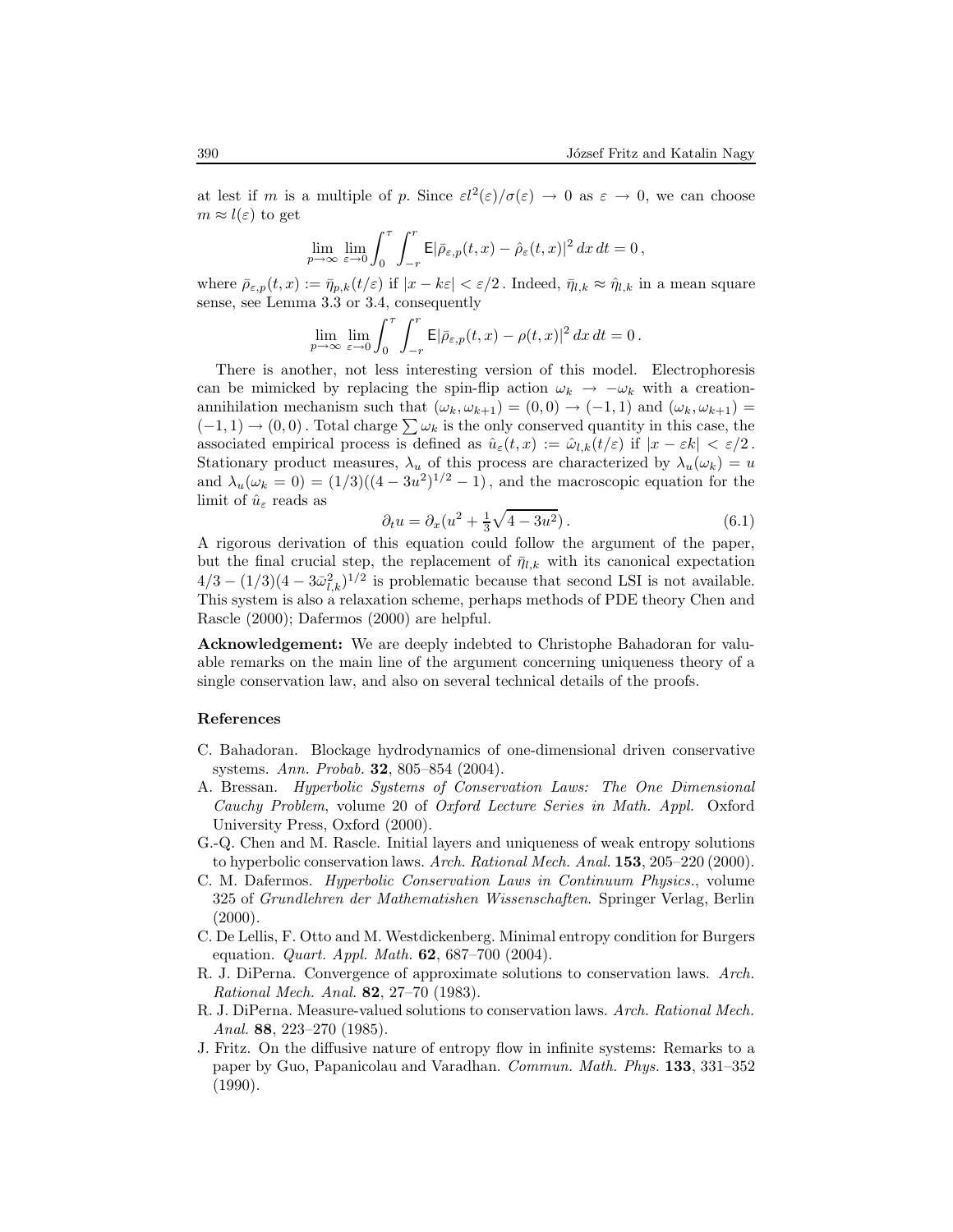at lest if m is a multiple of p. Since  $\varepsilon l^2(\varepsilon)/\sigma(\varepsilon) \to 0$  as  $\varepsilon \to 0$ , we can choose  $m \approx l(\varepsilon)$  to get

$$
\lim_{p \to \infty} \lim_{\varepsilon \to 0} \int_0^{\tau} \int_{-r}^r \mathsf{E} |\bar{\rho}_{\varepsilon,p}(t,x) - \hat{\rho}_{\varepsilon}(t,x)|^2 dx dt = 0,
$$

where  $\bar{\rho}_{\varepsilon,p}(t,x) := \bar{\eta}_{p,k}(t/\varepsilon)$  if  $|x - k\varepsilon| < \varepsilon/2$ . Indeed,  $\bar{\eta}_{l,k} \approx \hat{\eta}_{l,k}$  in a mean square sense, see Lemma 3.3 or 3.4, consequently

$$
\lim_{p \to \infty} \lim_{\varepsilon \to 0} \int_0^{\tau} \int_{-r}^r \mathsf{E} |\bar{\rho}_{\varepsilon,p}(t,x) - \rho(t,x)|^2 \, dx \, dt = 0 \, .
$$

There is another, not less interesting version of this model. Electrophoresis can be mimicked by replacing the spin-flip action  $\omega_k \to -\omega_k$  with a creationannihilation mechanism such that  $(\omega_k, \omega_{k+1}) = (0, 0) \rightarrow (-1, 1)$  and  $(\omega_k, \omega_{k+1}) =$  $(-1, 1) \rightarrow (0, 0)$ . Total charge  $\sum \omega_k$  is the only conserved quantity in this case, the associated empirical process is defined as  $\hat{u}_{\varepsilon}(t,x) := \hat{\omega}_{l,k}(t/\varepsilon)$  if  $|x - \varepsilon k| < \varepsilon/2$ . Stationary product measures,  $\lambda_u$  of this process are characterized by  $\lambda_u(\omega_k) = u$ and  $\lambda_u(\omega_k = 0) = (1/3)((4 - 3u^2)^{1/2} - 1)$ , and the macroscopic equation for the limit of  $\hat{u}_{\varepsilon}$  reads as

$$
\partial_t u = \partial_x (u^2 + \frac{1}{3}\sqrt{4 - 3u^2}).\tag{6.1}
$$

A rigorous derivation of this equation could follow the argument of the paper, but the final crucial step, the replacement of  $\bar{\eta}_{l,k}$  with its canonical expectation  $4/3 - (1/3)(4 - 3\bar{\omega}_{l,k}^2)^{1/2}$  is problematic because that second LSI is not available. This system is also a relaxation scheme, perhaps methods of PDE theory Chen and Rascle (2000); Dafermos (2000) are helpful.

Acknowledgement: We are deeply indebted to Christophe Bahadoran for valuable remarks on the main line of the argument concerning uniqueness theory of a single conservation law, and also on several technical details of the proofs.

#### References

- C. Bahadoran. Blockage hydrodynamics of one-dimensional driven conservative systems. Ann. Probab. 32, 805–854 (2004).
- A. Bressan. Hyperbolic Systems of Conservation Laws: The One Dimensional Cauchy Problem, volume 20 of Oxford Lecture Series in Math. Appl. Oxford University Press, Oxford (2000).
- G.-Q. Chen and M. Rascle. Initial layers and uniqueness of weak entropy solutions to hyperbolic conservation laws. Arch. Rational Mech. Anal. 153, 205–220 (2000).
- C. M. Dafermos. Hyperbolic Conservation Laws in Continuum Physics., volume 325 of Grundlehren der Mathematishen Wissenschaften. Springer Verlag, Berlin  $(2000).$
- C. De Lellis, F. Otto and M. Westdickenberg. Minimal entropy condition for Burgers equation. *Quart. Appl. Math.* **62**, 687–700 (2004).
- R. J. DiPerna. Convergence of approximate solutions to conservation laws. Arch. Rational Mech. Anal. 82, 27–70 (1983).
- R. J. DiPerna. Measure-valued solutions to conservation laws. Arch. Rational Mech. Anal. 88, 223–270 (1985).
- J. Fritz. On the diffusive nature of entropy flow in infinite systems: Remarks to a paper by Guo, Papanicolau and Varadhan. Commun. Math. Phys. 133, 331–352 (1990).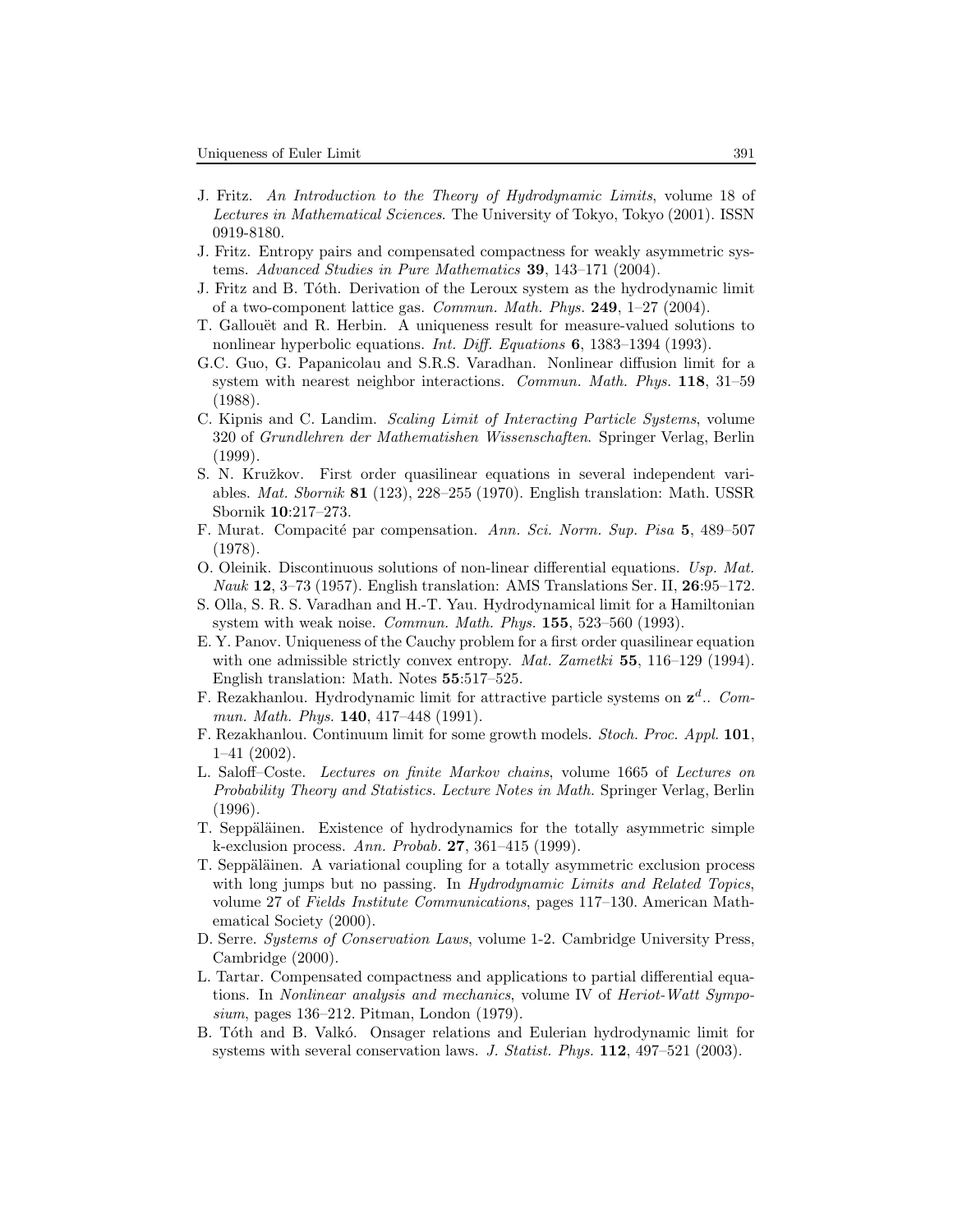- J. Fritz. An Introduction to the Theory of Hydrodynamic Limits, volume 18 of Lectures in Mathematical Sciences. The University of Tokyo, Tokyo (2001). ISSN 0919-8180.
- J. Fritz. Entropy pairs and compensated compactness for weakly asymmetric systems. Advanced Studies in Pure Mathematics 39, 143–171 (2004).
- J. Fritz and B. Tóth. Derivation of the Leroux system as the hydrodynamic limit of a two-component lattice gas. *Commun. Math. Phys.* **249**,  $1-27$  (2004).
- T. Gallouët and R. Herbin. A uniqueness result for measure-valued solutions to nonlinear hyperbolic equations. *Int. Diff. Equations* **6**, 1383–1394 (1993).
- G.C. Guo, G. Papanicolau and S.R.S. Varadhan. Nonlinear diffusion limit for a system with nearest neighbor interactions. Commun. Math. Phys. 118, 31–59 (1988).
- C. Kipnis and C. Landim. Scaling Limit of Interacting Particle Systems, volume 320 of Grundlehren der Mathematishen Wissenschaften. Springer Verlag, Berlin (1999).
- S. N. Kružkov. First order quasilinear equations in several independent variables. Mat. Sbornik 81 (123), 228–255 (1970). English translation: Math. USSR Sbornik 10:217–273.
- F. Murat. Compacité par compensation. Ann. Sci. Norm. Sup. Pisa 5, 489–507 (1978).
- O. Oleinik. Discontinuous solutions of non-linear differential equations. Usp. Mat. Nauk 12, 3–73 (1957). English translation: AMS Translations Ser. II, 26:95–172.
- S. Olla, S. R. S. Varadhan and H.-T. Yau. Hydrodynamical limit for a Hamiltonian system with weak noise. *Commun. Math. Phys.*  $155$ ,  $523-560$  (1993).
- E. Y. Panov. Uniqueness of the Cauchy problem for a first order quasilinear equation with one admissible strictly convex entropy. Mat. Zametki  $55$ ,  $116-129$  (1994). English translation: Math. Notes 55:517–525.
- F. Rezakhanlou. Hydrodynamic limit for attractive particle systems on  $z<sup>d</sup>$ .. Commun. Math. Phys. **140**, 417-448 (1991).
- F. Rezakhanlou. Continuum limit for some growth models. Stoch. Proc. Appl. 101, 1–41 (2002).
- L. Saloff–Coste. Lectures on finite Markov chains, volume 1665 of Lectures on Probability Theory and Statistics. Lecture Notes in Math. Springer Verlag, Berlin (1996).
- T. Seppäläinen. Existence of hydrodynamics for the totally asymmetric simple k-exclusion process. Ann. Probab. 27, 361–415 (1999).
- T. Seppäläinen. A variational coupling for a totally asymmetric exclusion process with long jumps but no passing. In Hydrodynamic Limits and Related Topics, volume 27 of Fields Institute Communications, pages 117–130. American Mathematical Society (2000).
- D. Serre. Systems of Conservation Laws, volume 1-2. Cambridge University Press, Cambridge (2000).
- L. Tartar. Compensated compactness and applications to partial differential equations. In Nonlinear analysis and mechanics, volume IV of Heriot-Watt Symposium, pages 136–212. Pitman, London (1979).
- B. Tóth and B. Valkó. Onsager relations and Eulerian hydrodynamic limit for systems with several conservation laws. J. Statist. Phys. 112, 497-521 (2003).